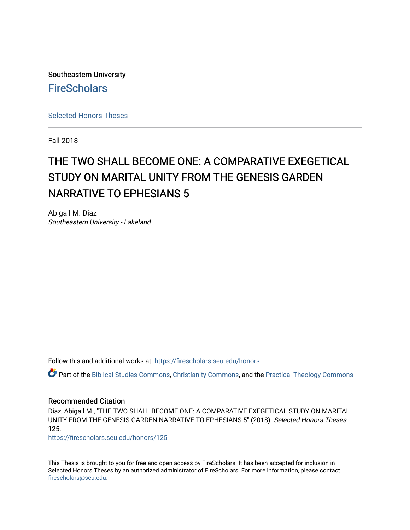Southeastern University **FireScholars** 

[Selected Honors Theses](https://firescholars.seu.edu/honors)

Fall 2018

## THE TWO SHALL BECOME ONE: A COMPARATIVE EXEGETICAL STUDY ON MARITAL UNITY FROM THE GENESIS GARDEN NARRATIVE TO EPHESIANS 5

Abigail M. Diaz Southeastern University - Lakeland

Follow this and additional works at: [https://firescholars.seu.edu/honors](https://firescholars.seu.edu/honors?utm_source=firescholars.seu.edu%2Fhonors%2F125&utm_medium=PDF&utm_campaign=PDFCoverPages)

Part of the [Biblical Studies Commons,](http://network.bepress.com/hgg/discipline/539?utm_source=firescholars.seu.edu%2Fhonors%2F125&utm_medium=PDF&utm_campaign=PDFCoverPages) [Christianity Commons,](http://network.bepress.com/hgg/discipline/1181?utm_source=firescholars.seu.edu%2Fhonors%2F125&utm_medium=PDF&utm_campaign=PDFCoverPages) and the [Practical Theology Commons](http://network.bepress.com/hgg/discipline/1186?utm_source=firescholars.seu.edu%2Fhonors%2F125&utm_medium=PDF&utm_campaign=PDFCoverPages) 

#### Recommended Citation

Diaz, Abigail M., "THE TWO SHALL BECOME ONE: A COMPARATIVE EXEGETICAL STUDY ON MARITAL UNITY FROM THE GENESIS GARDEN NARRATIVE TO EPHESIANS 5" (2018). Selected Honors Theses. 125.

[https://firescholars.seu.edu/honors/125](https://firescholars.seu.edu/honors/125?utm_source=firescholars.seu.edu%2Fhonors%2F125&utm_medium=PDF&utm_campaign=PDFCoverPages)

This Thesis is brought to you for free and open access by FireScholars. It has been accepted for inclusion in Selected Honors Theses by an authorized administrator of FireScholars. For more information, please contact [firescholars@seu.edu.](mailto:firescholars@seu.edu)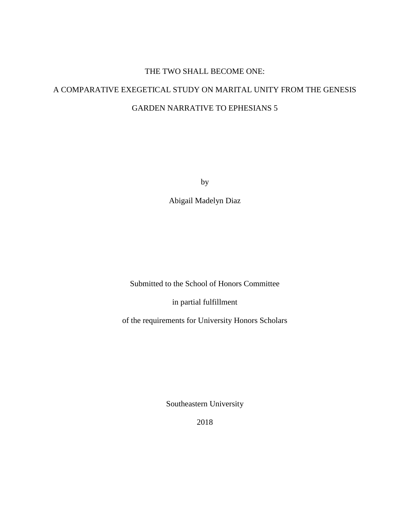# THE TWO SHALL BECOME ONE: A COMPARATIVE EXEGETICAL STUDY ON MARITAL UNITY FROM THE GENESIS GARDEN NARRATIVE TO EPHESIANS 5

by

Abigail Madelyn Diaz

Submitted to the School of Honors Committee

in partial fulfillment

of the requirements for University Honors Scholars

Southeastern University

2018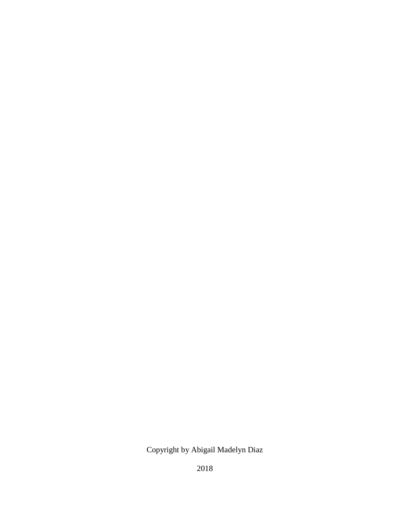### Copyright by Abigail Madelyn Diaz

2018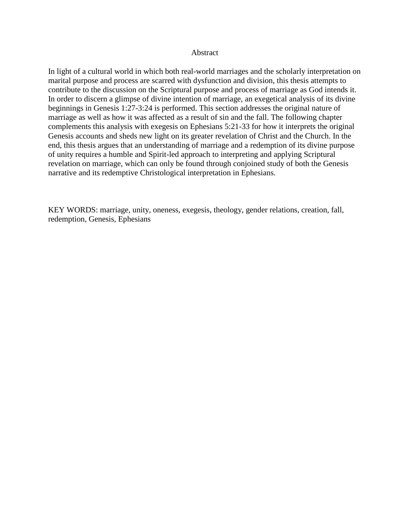#### Abstract

In light of a cultural world in which both real-world marriages and the scholarly interpretation on marital purpose and process are scarred with dysfunction and division, this thesis attempts to contribute to the discussion on the Scriptural purpose and process of marriage as God intends it. In order to discern a glimpse of divine intention of marriage, an exegetical analysis of its divine beginnings in Genesis 1:27-3:24 is performed. This section addresses the original nature of marriage as well as how it was affected as a result of sin and the fall. The following chapter complements this analysis with exegesis on Ephesians 5:21-33 for how it interprets the original Genesis accounts and sheds new light on its greater revelation of Christ and the Church. In the end, this thesis argues that an understanding of marriage and a redemption of its divine purpose of unity requires a humble and Spirit-led approach to interpreting and applying Scriptural revelation on marriage, which can only be found through conjoined study of both the Genesis narrative and its redemptive Christological interpretation in Ephesians.

KEY WORDS: marriage, unity, oneness, exegesis, theology, gender relations, creation, fall, redemption, Genesis, Ephesians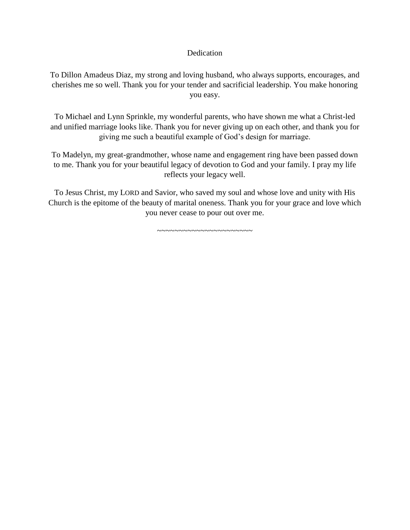#### **Dedication**

To Dillon Amadeus Diaz, my strong and loving husband, who always supports, encourages, and cherishes me so well. Thank you for your tender and sacrificial leadership. You make honoring you easy.

To Michael and Lynn Sprinkle, my wonderful parents, who have shown me what a Christ-led and unified marriage looks like. Thank you for never giving up on each other, and thank you for giving me such a beautiful example of God's design for marriage.

To Madelyn, my great-grandmother, whose name and engagement ring have been passed down to me. Thank you for your beautiful legacy of devotion to God and your family. I pray my life reflects your legacy well.

To Jesus Christ, my LORD and Savior, who saved my soul and whose love and unity with His Church is the epitome of the beauty of marital oneness. Thank you for your grace and love which you never cease to pour out over me.

~~~~~~~~~~~~~~~~~~~~~~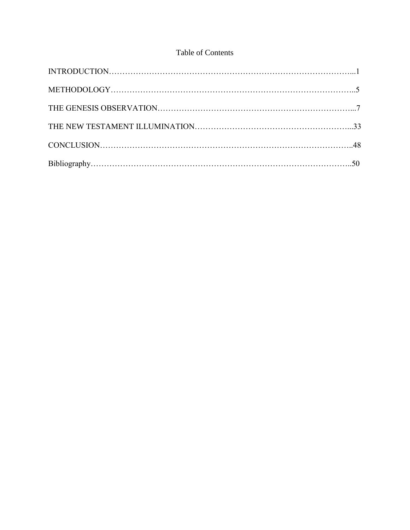#### Table of Contents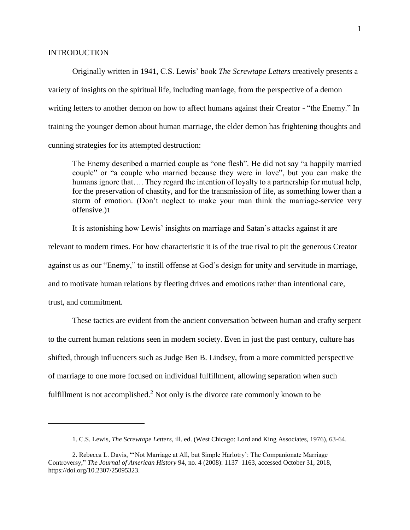#### **INTRODUCTION**

Originally written in 1941, C.S. Lewis' book *The Screwtape Letters* creatively presents a variety of insights on the spiritual life, including marriage, from the perspective of a demon writing letters to another demon on how to affect humans against their Creator - "the Enemy." In training the younger demon about human marriage, the elder demon has frightening thoughts and cunning strategies for its attempted destruction:

The Enemy described a married couple as "one flesh". He did not say "a happily married couple" or "a couple who married because they were in love", but you can make the humans ignore that.... They regard the intention of loyalty to a partnership for mutual help, for the preservation of chastity, and for the transmission of life, as something lower than a storm of emotion. (Don't neglect to make your man think the marriage-service very offensive.)1

It is astonishing how Lewis' insights on marriage and Satan's attacks against it are

relevant to modern times. For how characteristic it is of the true rival to pit the generous Creator

against us as our "Enemy," to instill offense at God's design for unity and servitude in marriage,

and to motivate human relations by fleeting drives and emotions rather than intentional care,

trust, and commitment.

 $\overline{a}$ 

These tactics are evident from the ancient conversation between human and crafty serpent to the current human relations seen in modern society. Even in just the past century, culture has shifted, through influencers such as Judge Ben B. Lindsey, from a more committed perspective of marriage to one more focused on individual fulfillment, allowing separation when such fulfillment is not accomplished.<sup>2</sup> Not only is the divorce rate commonly known to be

<sup>1.</sup> C.S. Lewis, *The Screwtape Letters*, ill. ed. (West Chicago: Lord and King Associates, 1976), 63-64.

<sup>2.</sup> Rebecca L. Davis, "'Not Marriage at All, but Simple Harlotry': The Companionate Marriage Controversy," *The Journal of American History* 94, no. 4 (2008): 1137–1163, accessed October 31, 2018, https://doi.org/10.2307/25095323.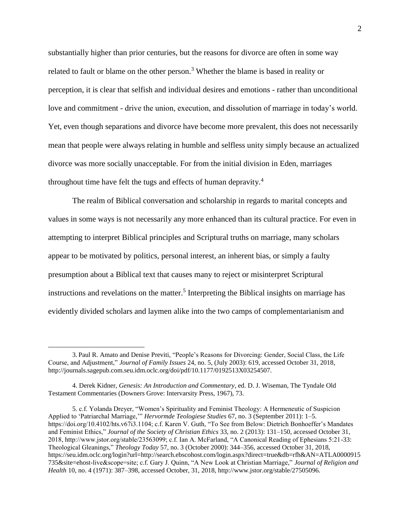substantially higher than prior centuries, but the reasons for divorce are often in some way related to fault or blame on the other person.<sup>3</sup> Whether the blame is based in reality or perception, it is clear that selfish and individual desires and emotions - rather than unconditional love and commitment - drive the union, execution, and dissolution of marriage in today's world. Yet, even though separations and divorce have become more prevalent, this does not necessarily mean that people were always relating in humble and selfless unity simply because an actualized divorce was more socially unacceptable. For from the initial division in Eden, marriages throughout time have felt the tugs and effects of human depravity.<sup>4</sup>

The realm of Biblical conversation and scholarship in regards to marital concepts and values in some ways is not necessarily any more enhanced than its cultural practice. For even in attempting to interpret Biblical principles and Scriptural truths on marriage, many scholars appear to be motivated by politics, personal interest, an inherent bias, or simply a faulty presumption about a Biblical text that causes many to reject or misinterpret Scriptural instructions and revelations on the matter.<sup>5</sup> Interpreting the Biblical insights on marriage has evidently divided scholars and laymen alike into the two camps of complementarianism and

<sup>3.</sup> Paul R. Amato and Denise Previti, "People's Reasons for Divorcing: Gender, Social Class, the Life Course, and Adjustment," *Journal of Family Issues* 24, no. 5, (July 2003): 619, accessed October 31, 2018, http://journals.sagepub.com.seu.idm.oclc.org/doi/pdf/10.1177/0192513X03254507.

<sup>4.</sup> Derek Kidner, *Genesis: An Introduction and Commentary*, ed. D. J. Wiseman, The Tyndale Old Testament Commentaries (Downers Grove: Intervarsity Press, 1967), 73.

<sup>5.</sup> c.f. Yolanda Dreyer, "Women's Spirituality and Feminist Theology: A Hermeneutic of Suspicion Applied to 'Patriarchal Marriage,'" *Hervormde Teologiese Studies* 67, no. 3 (September 2011): 1–5. https://doi.org/10.4102/hts.v67i3.1104; c.f. Karen V. Guth, "To See from Below: Dietrich Bonhoeffer's Mandates and Feminist Ethics," *Journal of the Society of Christian Ethics* 33, no. 2 (2013): 131–150, accessed October 31, 2018, http://www.jstor.org/stable/23563099; c.f. Ian A. McFarland, "A Canonical Reading of Ephesians 5:21-33: Theological Gleanings," *Theology Today* 57, no. 3 (October 2000): 344–356, accessed October 31, 2018, https://seu.idm.oclc.org/login?url=http://search.ebscohost.com/login.aspx?direct=true&db=rfh&AN=ATLA0000915 735&site=ehost-live&scope=site; c.f. Gary J. Quinn, "A New Look at Christian Marriage," *Journal of Religion and Health* 10, no. 4 (1971): 387–398, accessed October, 31, 2018, http://www.jstor.org/stable/27505096.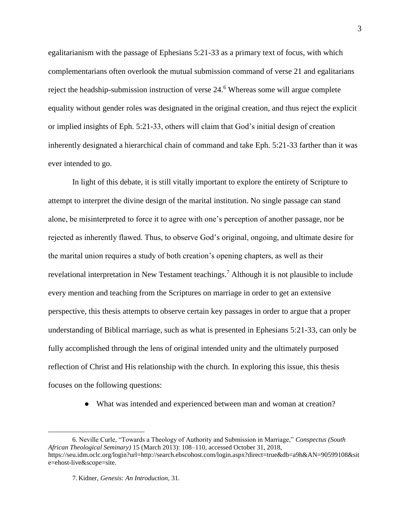egalitarianism with the passage of Ephesians 5:21-33 as a primary text of focus, with which complementarians often overlook the mutual submission command of verse 21 and egalitarians reject the headship-submission instruction of verse 24.<sup>6</sup> Whereas some will argue complete equality without gender roles was designated in the original creation, and thus reject the explicit or implied insights of Eph. 5:21-33, others will claim that God's initial design of creation inherently designated a hierarchical chain of command and take Eph. 5:21-33 farther than it was ever intended to go.

In light of this debate, it is still vitally important to explore the entirety of Scripture to attempt to interpret the divine design of the marital institution. No single passage can stand alone, be misinterpreted to force it to agree with one's perception of another passage, nor be rejected as inherently flawed. Thus, to observe God's original, ongoing, and ultimate desire for the marital union requires a study of both creation's opening chapters, as well as their revelational interpretation in New Testament teachings.<sup>7</sup> Although it is not plausible to include every mention and teaching from the Scriptures on marriage in order to get an extensive perspective, this thesis attempts to observe certain key passages in order to argue that a proper understanding of Biblical marriage, such as what is presented in Ephesians 5:21-33, can only be fully accomplished through the lens of original intended unity and the ultimately purposed reflection of Christ and His relationship with the church. In exploring this issue, this thesis focuses on the following questions:

• What was intended and experienced between man and woman at creation?

<sup>6.</sup> Neville Curle, "Towards a Theology of Authority and Submission in Marriage," *Conspectus (South African Theological Seminary)* 15 (March 2013): 108–110, accessed October 31, 2018, https://seu.idm.oclc.org/login?url=http://search.ebscohost.com/login.aspx?direct=true&db=a9h&AN=90599108&sit e=ehost-live&scope=site.

<sup>7.</sup> Kidner, *Genesis: An Introduction,* 31.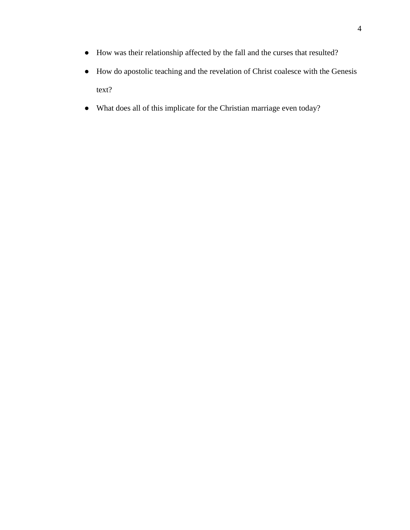- How was their relationship affected by the fall and the curses that resulted?
- How do apostolic teaching and the revelation of Christ coalesce with the Genesis text?
- What does all of this implicate for the Christian marriage even today?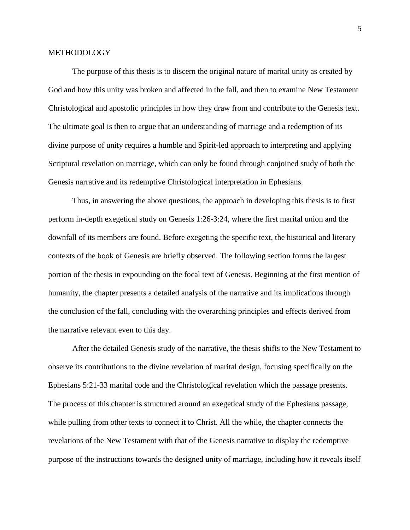#### **METHODOLOGY**

The purpose of this thesis is to discern the original nature of marital unity as created by God and how this unity was broken and affected in the fall, and then to examine New Testament Christological and apostolic principles in how they draw from and contribute to the Genesis text. The ultimate goal is then to argue that an understanding of marriage and a redemption of its divine purpose of unity requires a humble and Spirit-led approach to interpreting and applying Scriptural revelation on marriage, which can only be found through conjoined study of both the Genesis narrative and its redemptive Christological interpretation in Ephesians.

Thus, in answering the above questions, the approach in developing this thesis is to first perform in-depth exegetical study on Genesis 1:26-3:24, where the first marital union and the downfall of its members are found. Before exegeting the specific text, the historical and literary contexts of the book of Genesis are briefly observed. The following section forms the largest portion of the thesis in expounding on the focal text of Genesis. Beginning at the first mention of humanity, the chapter presents a detailed analysis of the narrative and its implications through the conclusion of the fall, concluding with the overarching principles and effects derived from the narrative relevant even to this day.

After the detailed Genesis study of the narrative, the thesis shifts to the New Testament to observe its contributions to the divine revelation of marital design, focusing specifically on the Ephesians 5:21-33 marital code and the Christological revelation which the passage presents. The process of this chapter is structured around an exegetical study of the Ephesians passage, while pulling from other texts to connect it to Christ. All the while, the chapter connects the revelations of the New Testament with that of the Genesis narrative to display the redemptive purpose of the instructions towards the designed unity of marriage, including how it reveals itself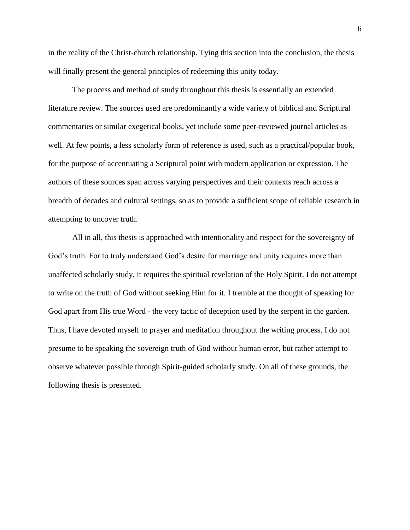in the reality of the Christ-church relationship. Tying this section into the conclusion, the thesis will finally present the general principles of redeeming this unity today.

The process and method of study throughout this thesis is essentially an extended literature review. The sources used are predominantly a wide variety of biblical and Scriptural commentaries or similar exegetical books, yet include some peer-reviewed journal articles as well. At few points, a less scholarly form of reference is used, such as a practical/popular book, for the purpose of accentuating a Scriptural point with modern application or expression. The authors of these sources span across varying perspectives and their contexts reach across a breadth of decades and cultural settings, so as to provide a sufficient scope of reliable research in attempting to uncover truth.

All in all, this thesis is approached with intentionality and respect for the sovereignty of God's truth. For to truly understand God's desire for marriage and unity requires more than unaffected scholarly study, it requires the spiritual revelation of the Holy Spirit. I do not attempt to write on the truth of God without seeking Him for it. I tremble at the thought of speaking for God apart from His true Word - the very tactic of deception used by the serpent in the garden. Thus, I have devoted myself to prayer and meditation throughout the writing process. I do not presume to be speaking the sovereign truth of God without human error, but rather attempt to observe whatever possible through Spirit-guided scholarly study. On all of these grounds, the following thesis is presented.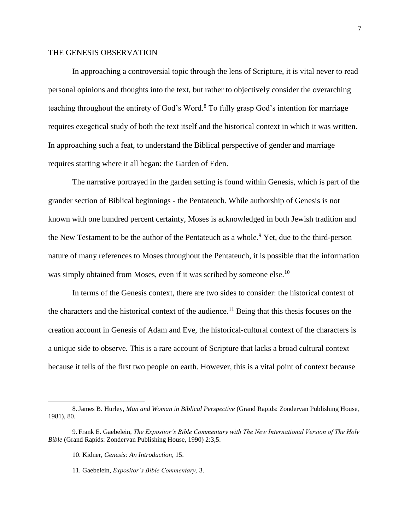#### THE GENESIS OBSERVATION

In approaching a controversial topic through the lens of Scripture, it is vital never to read personal opinions and thoughts into the text, but rather to objectively consider the overarching teaching throughout the entirety of God's Word.<sup>8</sup> To fully grasp God's intention for marriage requires exegetical study of both the text itself and the historical context in which it was written. In approaching such a feat, to understand the Biblical perspective of gender and marriage requires starting where it all began: the Garden of Eden.

The narrative portrayed in the garden setting is found within Genesis, which is part of the grander section of Biblical beginnings - the Pentateuch. While authorship of Genesis is not known with one hundred percent certainty, Moses is acknowledged in both Jewish tradition and the New Testament to be the author of the Pentateuch as a whole.<sup>9</sup> Yet, due to the third-person nature of many references to Moses throughout the Pentateuch, it is possible that the information was simply obtained from Moses, even if it was scribed by someone else.<sup>10</sup>

In terms of the Genesis context, there are two sides to consider: the historical context of the characters and the historical context of the audience.<sup>11</sup> Being that this thesis focuses on the creation account in Genesis of Adam and Eve, the historical-cultural context of the characters is a unique side to observe. This is a rare account of Scripture that lacks a broad cultural context because it tells of the first two people on earth. However, this is a vital point of context because

<sup>8.</sup>James B. Hurley, *Man and Woman in Biblical Perspective* (Grand Rapids: Zondervan Publishing House, 1981), 80.

<sup>9.</sup> Frank E. Gaebelein, *The Expositor's Bible Commentary with The New International Version of The Holy Bible* (Grand Rapids: Zondervan Publishing House, 1990) 2:3,5.

<sup>10.</sup> Kidner, *Genesis: An Introduction,* 15.

<sup>11.</sup> Gaebelein, *Expositor's Bible Commentary,* 3.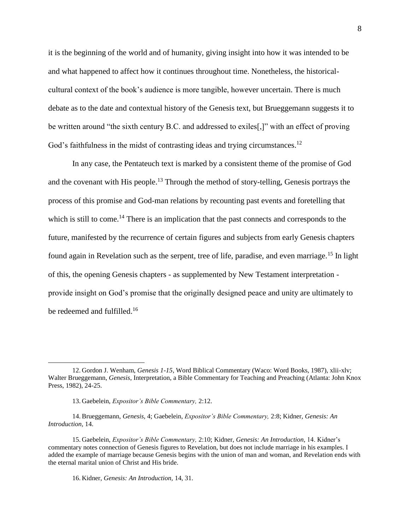it is the beginning of the world and of humanity, giving insight into how it was intended to be and what happened to affect how it continues throughout time. Nonetheless, the historicalcultural context of the book's audience is more tangible, however uncertain. There is much debate as to the date and contextual history of the Genesis text, but Brueggemann suggests it to be written around "the sixth century B.C. and addressed to exiles<sup>[1]</sup>, with an effect of proving God's faithfulness in the midst of contrasting ideas and trying circumstances.<sup>12</sup>

In any case, the Pentateuch text is marked by a consistent theme of the promise of God and the covenant with His people.<sup>13</sup> Through the method of story-telling, Genesis portrays the process of this promise and God-man relations by recounting past events and foretelling that which is still to come.<sup>14</sup> There is an implication that the past connects and corresponds to the future, manifested by the recurrence of certain figures and subjects from early Genesis chapters found again in Revelation such as the serpent, tree of life, paradise, and even marriage.<sup>15</sup> In light of this, the opening Genesis chapters - as supplemented by New Testament interpretation provide insight on God's promise that the originally designed peace and unity are ultimately to be redeemed and fulfilled.<sup>16</sup>

<sup>12.</sup> Gordon J. Wenham, *Genesis 1-15*, Word Biblical Commentary (Waco: Word Books, 1987), xlii-xlv; Walter Brueggemann, *Genesis*, Interpretation, a Bible Commentary for Teaching and Preaching (Atlanta: John Knox Press, 1982), 24-25.

<sup>13.</sup> Gaebelein, *Expositor's Bible Commentary,* 2:12.

<sup>14.</sup> Brueggemann, *Genesis,* 4; Gaebelein, *Expositor's Bible Commentary,* 2:8; Kidner, *Genesis: An Introduction,* 14.

<sup>15.</sup> Gaebelein, *Expositor's Bible Commentary,* 2:10; Kidner, *Genesis: An Introduction,* 14. Kidner's commentary notes connection of Genesis figures to Revelation, but does not include marriage in his examples. I added the example of marriage because Genesis begins with the union of man and woman, and Revelation ends with the eternal marital union of Christ and His bride.

<sup>16.</sup> Kidner, *Genesis: An Introduction,* 14, 31.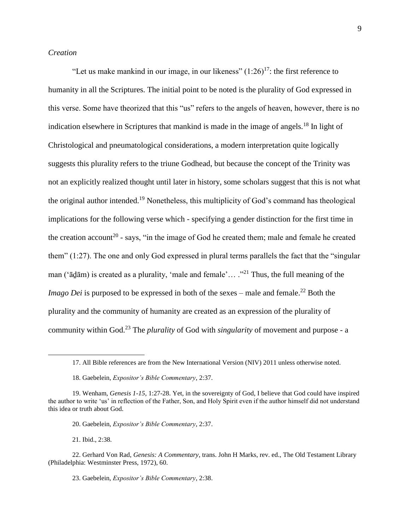#### *Creation*

"Let us make mankind in our image, in our likeness"  $(1:26)^{17}$ : the first reference to humanity in all the Scriptures. The initial point to be noted is the plurality of God expressed in this verse. Some have theorized that this "us" refers to the angels of heaven, however, there is no indication elsewhere in Scriptures that mankind is made in the image of angels.<sup>18</sup> In light of Christological and pneumatological considerations, a modern interpretation quite logically suggests this plurality refers to the triune Godhead, but because the concept of the Trinity was not an explicitly realized thought until later in history, some scholars suggest that this is not what the original author intended.<sup>19</sup> Nonetheless, this multiplicity of God's command has theological implications for the following verse which - specifying a gender distinction for the first time in the creation account<sup>20</sup> - says, "in the image of God he created them; male and female he created them" (1:27). The one and only God expressed in plural terms parallels the fact that the "singular man ('ādām) is created as a plurality, 'male and female'... ."<sup>21</sup> Thus, the full meaning of the *Imago Dei* is purposed to be expressed in both of the sexes – male and female.<sup>22</sup> Both the plurality and the community of humanity are created as an expression of the plurality of community within God.<sup>23</sup> The *plurality* of God with *singularity* of movement and purpose - a

20. Gaebelein, *Expositor's Bible Commentary*, 2:37.

21. Ibid., 2:38.

<sup>17.</sup> All Bible references are from the New International Version (NIV) 2011 unless otherwise noted.

<sup>18.</sup> Gaebelein, *Expositor's Bible Commentary,* 2:37.

<sup>19.</sup> Wenham, *Genesis 1-15*, 1:27-28. Yet, in the sovereignty of God, I believe that God could have inspired the author to write 'us' in reflection of the Father, Son, and Holy Spirit even if the author himself did not understand this idea or truth about God.

<sup>22.</sup> Gerhard Von Rad, *Genesis: A Commentary*, trans. John H Marks, rev. ed., The Old Testament Library (Philadelphia: Westminster Press, 1972), 60.

<sup>23.</sup> Gaebelein, *Expositor's Bible Commentary*, 2:38.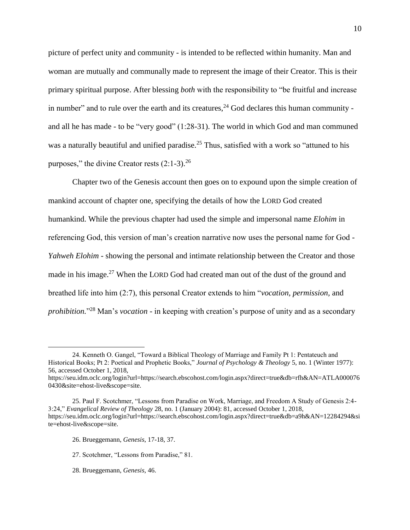picture of perfect unity and community - is intended to be reflected within humanity. Man and woman are mutually and communally made to represent the image of their Creator. This is their primary spiritual purpose. After blessing *both* with the responsibility to "be fruitful and increase in number" and to rule over the earth and its creatures,  $24$  God declares this human community and all he has made - to be "very good" (1:28-31). The world in which God and man communed was a naturally beautiful and unified paradise.<sup>25</sup> Thus, satisfied with a work so "attuned to his purposes," the divine Creator rests  $(2:1-3)$ .<sup>26</sup>

Chapter two of the Genesis account then goes on to expound upon the simple creation of mankind account of chapter one, specifying the details of how the LORD God created humankind. While the previous chapter had used the simple and impersonal name *Elohim* in referencing God, this version of man's creation narrative now uses the personal name for God - *Yahweh Elohim* - showing the personal and intimate relationship between the Creator and those made in his image.<sup>27</sup> When the LORD God had created man out of the dust of the ground and breathed life into him (2:7), this personal Creator extends to him "*vocation, permission,* and *prohibition.*" <sup>28</sup> Man's *vocation* - in keeping with creation's purpose of unity and as a secondary

- 26. Brueggemann, *Genesis*, 17-18, 37.
- 27. Scotchmer, "Lessons from Paradise," 81.
- 28. Brueggemann, *Genesis,* 46.

<sup>24.</sup> Kenneth O. Gangel, "Toward a Biblical Theology of Marriage and Family Pt 1: Pentateuch and Historical Books; Pt 2: Poetical and Prophetic Books," *Journal of Psychology & Theology* 5, no. 1 (Winter 1977): 56, accessed October 1, 2018, https://seu.idm.oclc.org/login?url=https://search.ebscohost.com/login.aspx?direct=true&db=rfh&AN=ATLA000076 0430&site=ehost-live&scope=site.

<sup>25.</sup> Paul F. Scotchmer, "Lessons from Paradise on Work, Marriage, and Freedom A Study of Genesis 2:4- 3:24," *Evangelical Review of Theology* 28, no. 1 (January 2004): 81, accessed October 1, 2018, https://seu.idm.oclc.org/login?url=https://search.ebscohost.com/login.aspx?direct=true&db=a9h&AN=12284294&si te=ehost-live&scope=site.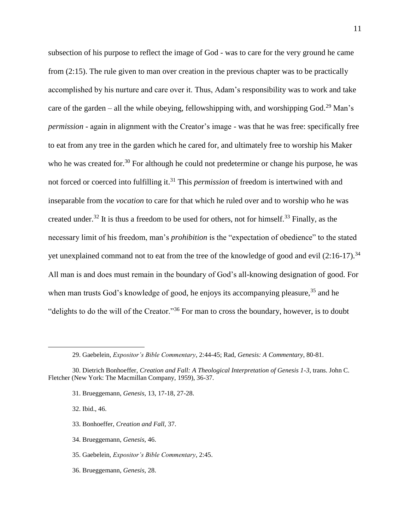subsection of his purpose to reflect the image of God - was to care for the very ground he came from (2:15). The rule given to man over creation in the previous chapter was to be practically accomplished by his nurture and care over it. Thus, Adam's responsibility was to work and take care of the garden – all the while obeying, fellowshipping with, and worshipping  $God.^{29}$  Man's *permission* - again in alignment with the Creator's image - was that he was free: specifically free to eat from any tree in the garden which he cared for, and ultimately free to worship his Maker who he was created for.<sup>30</sup> For although he could not predetermine or change his purpose, he was not forced or coerced into fulfilling it.<sup>31</sup> This *permission* of freedom is intertwined with and inseparable from the *vocation* to care for that which he ruled over and to worship who he was created under.<sup>32</sup> It is thus a freedom to be used for others, not for himself.<sup>33</sup> Finally, as the necessary limit of his freedom, man's *prohibition* is the "expectation of obedience" to the stated yet unexplained command not to eat from the tree of the knowledge of good and evil  $(2.16-17)$ .<sup>34</sup> All man is and does must remain in the boundary of God's all-knowing designation of good. For when man trusts God's knowledge of good, he enjoys its accompanying pleasure,<sup>35</sup> and he "delights to do the will of the Creator."<sup>36</sup> For man to cross the boundary, however, is to doubt

31. Brueggemann, *Genesis,* 13, 17-18, 27-28.

32. Ibid., 46.

- 33. Bonhoeffer, *Creation and Fall,* 37.
- 34. Brueggemann, *Genesis,* 46.
- 35. Gaebelein, *Expositor's Bible Commentary*, 2:45.
- 36. Brueggemann, *Genesis,* 28.

<sup>29.</sup> Gaebelein, *Expositor's Bible Commentary*, 2:44-45; Rad, *Genesis: A Commentary*, 80-81.

<sup>30.</sup> Dietrich Bonhoeffer, *Creation and Fall: A Theological Interpretation of Genesis 1-3*, trans. John C. Fletcher (New York: The Macmillan Company, 1959), 36-37.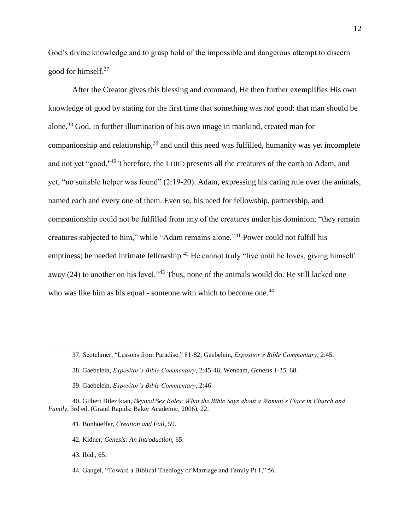God's divine knowledge and to grasp hold of the impossible and dangerous attempt to discern good for himself.<sup>37</sup>

After the Creator gives this blessing and command, He then further exemplifies His own knowledge of good by stating for the first time that something was *not* good: that man should be alone.<sup>38</sup> God, in further illumination of his own image in mankind, created man for companionship and relationship,<sup>39</sup> and until this need was fulfilled, humanity was yet incomplete and not yet "good."<sup>40</sup> Therefore, the LORD presents all the creatures of the earth to Adam, and yet, "no suitable helper was found" (2:19-20). Adam, expressing his caring rule over the animals, named each and every one of them. Even so, his need for fellowship, partnership, and companionship could not be fulfilled from any of the creatures under his dominion; "they remain creatures subjected to him," while "Adam remains alone."<sup>41</sup> Power could not fulfill his emptiness; he needed intimate fellowship.<sup>42</sup> He cannot truly "live until he loves, giving himself away  $(24)$  to another on his level.<sup> $3$ </sup> Thus, none of the animals would do. He still lacked one who was like him as his equal - someone with which to become one.<sup>44</sup>

<sup>37.</sup> Scotchmer, "Lessons from Paradise," 81-82; Gaebelein, *Expositor's Bible Commentary*, 2:45.

<sup>38.</sup> Gaebelein, *Expositor's Bible Commentary*, 2:45-46; Wenham, *Genesis 1-15*, 68.

<sup>39.</sup> Gaebelein, *Expositor's Bible Commentary*, 2:46.

<sup>40.</sup> Gilbert Bilezikian, *Beyond Sex Roles: What the Bible Says about a Woman's Place in Church and Family*, 3rd ed. (Grand Rapids: Baker Academic, 2006), 22.

<sup>41.</sup> Bonhoeffer, *Creation and Fall*, 59.

<sup>42.</sup> Kidner, *Genesis: An Introduction,* 65.

<sup>43.</sup> Ibid., 65.

<sup>44.</sup> Gangel, "Toward a Biblical Theology of Marriage and Family Pt 1," 56.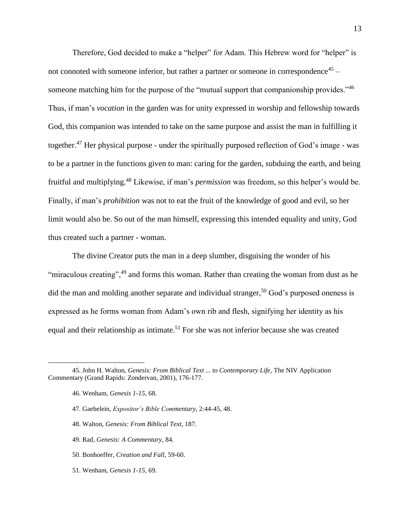Therefore, God decided to make a "helper" for Adam. This Hebrew word for "helper" is not connoted with someone inferior, but rather a partner or someone in correspondence<sup>45</sup> someone matching him for the purpose of the "mutual support that companionship provides."<sup>46</sup> Thus, if man's *vocation* in the garden was for unity expressed in worship and fellowship towards God, this companion was intended to take on the same purpose and assist the man in fulfilling it together.<sup>47</sup> Her physical purpose - under the spiritually purposed reflection of God's image - was to be a partner in the functions given to man: caring for the garden, subduing the earth, and being fruitful and multiplying.<sup>48</sup> Likewise, if man's *permission* was freedom, so this helper's would be. Finally, if man's *prohibition* was not to eat the fruit of the knowledge of good and evil, so her limit would also be. So out of the man himself, expressing this intended equality and unity, God thus created such a partner - woman.

The divine Creator puts the man in a deep slumber, disguising the wonder of his "miraculous creating",<sup>49</sup> and forms this woman. Rather than creating the woman from dust as he did the man and molding another separate and individual stranger,<sup>50</sup> God's purposed oneness is expressed as he forms woman from Adam's own rib and flesh, signifying her identity as his equal and their relationship as intimate.<sup>51</sup> For she was not inferior because she was created

- 47. Gaebelein, *Expositor's Bible Commentary*, 2:44-45, 48.
- 48. Walton, *Genesis: From Biblical Text*, 187.
- 49. Rad, *Genesis: A Commentary*, 84.
- 50. Bonhoeffer, *Creation and Fall,* 59-60.
- 51. Wenham, *Genesis 1-15,* 69.

<sup>45.</sup> John H. Walton, *Genesis: From Biblical Text ... to Contemporary Life*, The NIV Application Commentary (Grand Rapids: Zondervan, 2001), 176-177.

<sup>46.</sup> Wenham, *Genesis 1-15*, 68.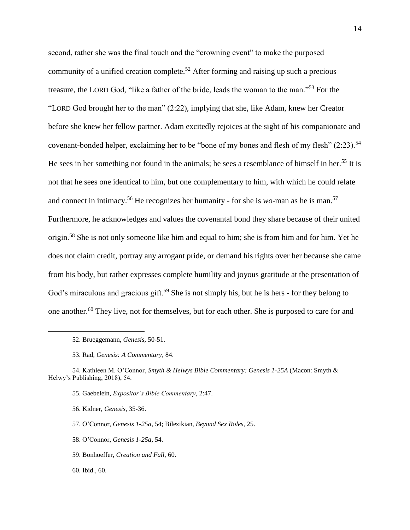second, rather she was the final touch and the "crowning event" to make the purposed community of a unified creation complete.<sup>52</sup> After forming and raising up such a precious treasure, the LORD God, "like a father of the bride, leads the woman to the man."<sup>53</sup> For the "LORD God brought her to the man" (2:22), implying that she, like Adam, knew her Creator before she knew her fellow partner. Adam excitedly rejoices at the sight of his companionate and covenant-bonded helper, exclaiming her to be "bone of my bones and flesh of my flesh" (2:23).<sup>54</sup> He sees in her something not found in the animals; he sees a resemblance of himself in her.<sup>55</sup> It is not that he sees one identical to him, but one complementary to him, with which he could relate and connect in intimacy.<sup>56</sup> He recognizes her humanity - for she is *wo*-man as he is man.<sup>57</sup> Furthermore, he acknowledges and values the covenantal bond they share because of their united origin.<sup>58</sup> She is not only someone like him and equal to him; she is from him and for him. Yet he does not claim credit, portray any arrogant pride, or demand his rights over her because she came from his body, but rather expresses complete humility and joyous gratitude at the presentation of God's miraculous and gracious gift.<sup>59</sup> She is not simply his, but he is hers - for they belong to one another.<sup>60</sup> They live, not for themselves, but for each other. She is purposed to care for and

59. Bonhoeffer, *Creation and Fall,* 60.

<sup>52.</sup> Brueggemann, *Genesis,* 50-51.

<sup>53.</sup> Rad, *Genesis: A Commentary*, 84.

<sup>54.</sup> Kathleen M. O'Connor, *Smyth & Helwys Bible Commentary: Genesis 1-25A* (Macon: Smyth & Helwy's Publishing, 2018), 54.

<sup>55.</sup> Gaebelein, *Expositor's Bible Commentary*, 2:47.

<sup>56.</sup> Kidner, *Genesis,* 35-36.

<sup>57.</sup> O'Connor, *Genesis 1-25a,* 54; Bilezikian, *Beyond Sex Roles,* 25.

<sup>58.</sup> O'Connor, *Genesis 1-25a,* 54.

<sup>60.</sup> Ibid.*,* 60.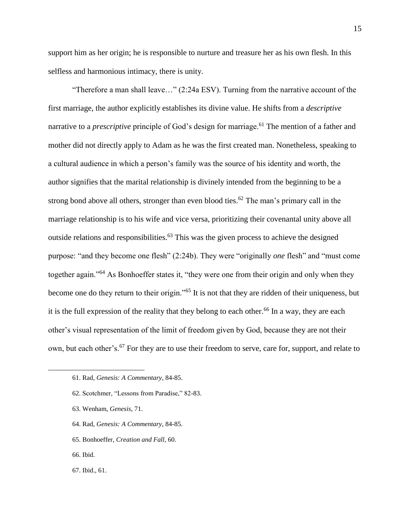support him as her origin; he is responsible to nurture and treasure her as his own flesh. In this selfless and harmonious intimacy, there is unity.

"Therefore a man shall leave…" (2:24a ESV). Turning from the narrative account of the first marriage, the author explicitly establishes its divine value. He shifts from a *descriptive*  narrative to a *prescriptive* principle of God's design for marriage.<sup>61</sup> The mention of a father and mother did not directly apply to Adam as he was the first created man. Nonetheless, speaking to a cultural audience in which a person's family was the source of his identity and worth, the author signifies that the marital relationship is divinely intended from the beginning to be a strong bond above all others, stronger than even blood ties.<sup>62</sup> The man's primary call in the marriage relationship is to his wife and vice versa, prioritizing their covenantal unity above all outside relations and responsibilities.<sup>63</sup> This was the given process to achieve the designed purpose: "and they become one flesh" (2:24b). They were "originally *one* flesh" and "must come together again."<sup>64</sup> As Bonhoeffer states it, "they were one from their origin and only when they become one do they return to their origin."<sup>65</sup> It is not that they are ridden of their uniqueness, but it is the full expression of the reality that they belong to each other.<sup>66</sup> In a way, they are each other's visual representation of the limit of freedom given by God, because they are not their own, but each other's.<sup>67</sup> For they are to use their freedom to serve, care for, support, and relate to

- 63. Wenham, *Genesis,* 71.
- 64. Rad, *Genesis: A Commentary*, 84-85.
- 65. Bonhoeffer, *Creation and Fall,* 60.
- 66. Ibid.

 $\overline{a}$ 

67. Ibid.*,* 61.

<sup>61.</sup> Rad, *Genesis: A Commentary*, 84-85.

<sup>62.</sup> Scotchmer, "Lessons from Paradise," 82-83.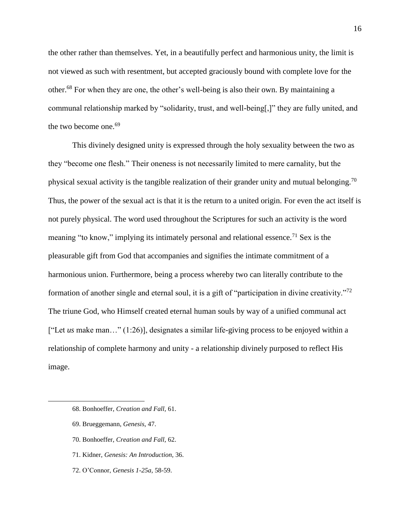the other rather than themselves. Yet, in a beautifully perfect and harmonious unity, the limit is not viewed as such with resentment, but accepted graciously bound with complete love for the other.<sup>68</sup> For when they are one, the other's well-being is also their own. By maintaining a communal relationship marked by "solidarity, trust, and well-being[,]" they are fully united, and the two become one.<sup>69</sup>

This divinely designed unity is expressed through the holy sexuality between the two as they "become one flesh." Their oneness is not necessarily limited to mere carnality, but the physical sexual activity is the tangible realization of their grander unity and mutual belonging.<sup>70</sup> Thus, the power of the sexual act is that it is the return to a united origin. For even the act itself is not purely physical. The word used throughout the Scriptures for such an activity is the word meaning "to know," implying its intimately personal and relational essence.<sup>71</sup> Sex is the pleasurable gift from God that accompanies and signifies the intimate commitment of a harmonious union. Furthermore, being a process whereby two can literally contribute to the formation of another single and eternal soul, it is a gift of "participation in divine creativity."<sup>72</sup> The triune God, who Himself created eternal human souls by way of a unified communal act ["Let *us* make man…" (1:26)], designates a similar life-giving process to be enjoyed within a relationship of complete harmony and unity - a relationship divinely purposed to reflect His image.

- 68. Bonhoeffer, *Creation and Fall,* 61.
- 69. Brueggemann, *Genesis,* 47.

- 70. Bonhoeffer, *Creation and Fall,* 62.
- 71. Kidner, *Genesis: An Introduction,* 36.
- 72. O'Connor, *Genesis 1-25a,* 58-59.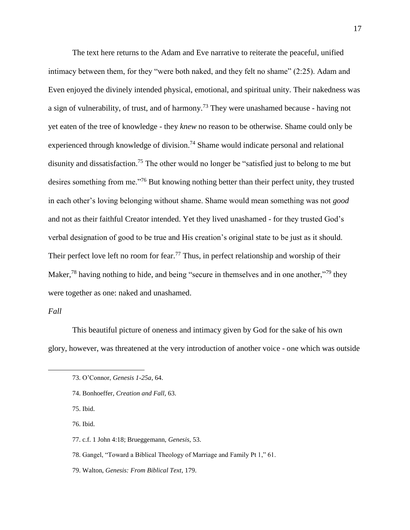The text here returns to the Adam and Eve narrative to reiterate the peaceful, unified intimacy between them, for they "were both naked, and they felt no shame" (2:25). Adam and Even enjoyed the divinely intended physical, emotional, and spiritual unity. Their nakedness was a sign of vulnerability, of trust, and of harmony.<sup>73</sup> They were unashamed because - having not yet eaten of the tree of knowledge - they *knew* no reason to be otherwise. Shame could only be experienced through knowledge of division.<sup>74</sup> Shame would indicate personal and relational disunity and dissatisfaction.<sup>75</sup> The other would no longer be "satisfied just to belong to me but desires something from me."<sup>76</sup> But knowing nothing better than their perfect unity, they trusted in each other's loving belonging without shame. Shame would mean something was not *good*  and not as their faithful Creator intended. Yet they lived unashamed - for they trusted God's verbal designation of good to be true and His creation's original state to be just as it should. Their perfect love left no room for fear.<sup>77</sup> Thus, in perfect relationship and worship of their Maker,<sup>78</sup> having nothing to hide, and being "secure in themselves and in one another,"<sup>79</sup> they were together as one: naked and unashamed.

#### *Fall*

 $\overline{a}$ 

This beautiful picture of oneness and intimacy given by God for the sake of his own glory, however, was threatened at the very introduction of another voice - one which was outside

- 75. Ibid.
- 76. Ibid.
- 77. c.f. 1 John 4:18; Brueggemann, *Genesis,* 53.
- 78. Gangel, "Toward a Biblical Theology of Marriage and Family Pt 1," 61.
- 79. Walton, *Genesis: From Biblical Text*, 179.

<sup>73.</sup> O'Connor, *Genesis 1-25a*, 64.

<sup>74.</sup> Bonhoeffer, *Creation and Fall,* 63.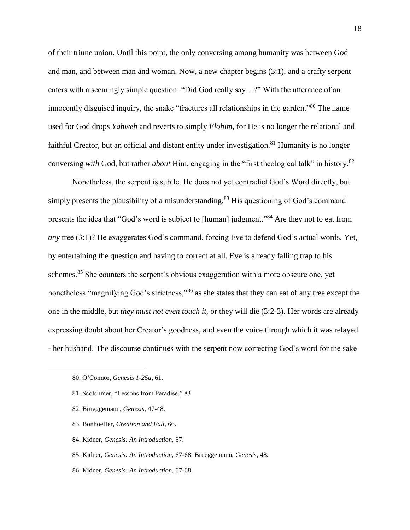of their triune union. Until this point, the only conversing among humanity was between God and man, and between man and woman. Now, a new chapter begins (3:1), and a crafty serpent enters with a seemingly simple question: "Did God really say…?" With the utterance of an innocently disguised inquiry, the snake "fractures all relationships in the garden."<sup>80</sup> The name used for God drops *Yahweh* and reverts to simply *Elohim*, for He is no longer the relational and faithful Creator, but an official and distant entity under investigation.<sup>81</sup> Humanity is no longer conversing *with* God, but rather *about* Him, engaging in the "first theological talk" in history.<sup>82</sup>

Nonetheless, the serpent is subtle. He does not yet contradict God's Word directly, but simply presents the plausibility of a misunderstanding.<sup>83</sup> His questioning of God's command presents the idea that "God's word is subject to [human] judgment."<sup>84</sup> Are they not to eat from *any* tree (3:1)? He exaggerates God's command, forcing Eve to defend God's actual words. Yet, by entertaining the question and having to correct at all, Eve is already falling trap to his schemes.<sup>85</sup> She counters the serpent's obvious exaggeration with a more obscure one, yet nonetheless "magnifying God's strictness,"<sup>86</sup> as she states that they can eat of any tree except the one in the middle, but *they must not even touch it*, or they will die (3:2-3). Her words are already expressing doubt about her Creator's goodness, and even the voice through which it was relayed - her husband. The discourse continues with the serpent now correcting God's word for the sake

- 81. Scotchmer, "Lessons from Paradise," 83.
- 82. Brueggemann, *Genesis,* 47-48.
- 83. Bonhoeffer, *Creation and Fall*, 66.
- 84. Kidner, *Genesis: An Introduction,* 67.
- 85. Kidner, *Genesis: An Introduction,* 67-68; Brueggemann, *Genesis,* 48.
- 86. Kidner, *Genesis: An Introduction,* 67-68.

<sup>80.</sup> O'Connor, *Genesis 1-25a,* 61.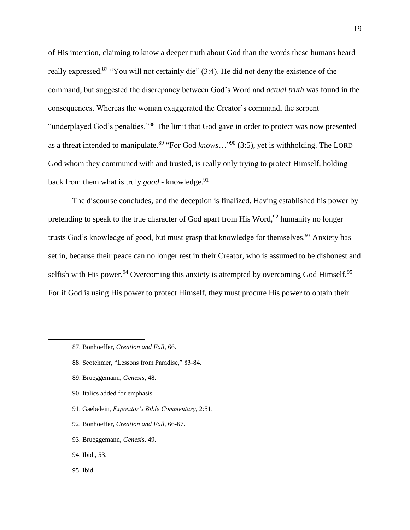of His intention, claiming to know a deeper truth about God than the words these humans heard really expressed.<sup>87</sup> "You will not certainly die" (3:4). He did not deny the existence of the command, but suggested the discrepancy between God's Word and *actual truth* was found in the consequences. Whereas the woman exaggerated the Creator's command, the serpent "underplayed God's penalties."<sup>88</sup> The limit that God gave in order to protect was now presented as a threat intended to manipulate.<sup>89</sup> "For God *knows*…"<sup>90</sup> (3:5), yet is withholding. The LORD God whom they communed with and trusted, is really only trying to protect Himself, holding back from them what is truly *good* - knowledge.<sup>91</sup>

The discourse concludes, and the deception is finalized. Having established his power by pretending to speak to the true character of God apart from His Word,<sup>92</sup> humanity no longer trusts God's knowledge of good, but must grasp that knowledge for themselves.<sup>93</sup> Anxiety has set in, because their peace can no longer rest in their Creator, who is assumed to be dishonest and selfish with His power.<sup>94</sup> Overcoming this anxiety is attempted by overcoming God Himself.<sup>95</sup> For if God is using His power to protect Himself, they must procure His power to obtain their

- 88. Scotchmer, "Lessons from Paradise," 83-84.
- 89. Brueggemann, *Genesis,* 48.
- 90. Italics added for emphasis.
- 91. Gaebelein, *Expositor's Bible Commentary*, 2:51.
- 92. Bonhoeffer, *Creation and Fall,* 66-67.
- 93. Brueggemann, *Genesis,* 49.
- 94. Ibid.*,* 53.
- 95. Ibid.

<sup>87.</sup> Bonhoeffer, *Creation and Fall*, 66.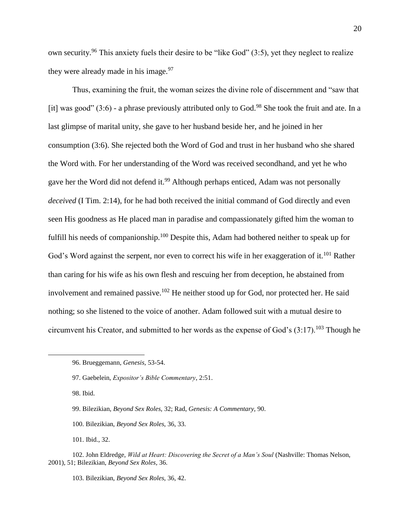own security.<sup>96</sup> This anxiety fuels their desire to be "like God"  $(3:5)$ , yet they neglect to realize they were already made in his image.  $97$ 

Thus, examining the fruit, the woman seizes the divine role of discernment and "saw that [it] was good"  $(3:6)$  - a phrase previously attributed only to God.<sup>98</sup> She took the fruit and ate. In a last glimpse of marital unity, she gave to her husband beside her, and he joined in her consumption (3:6). She rejected both the Word of God and trust in her husband who she shared the Word with. For her understanding of the Word was received secondhand, and yet he who gave her the Word did not defend it.<sup>99</sup> Although perhaps enticed, Adam was not personally *deceived* (I Tim. 2:14), for he had both received the initial command of God directly and even seen His goodness as He placed man in paradise and compassionately gifted him the woman to fulfill his needs of companionship.<sup>100</sup> Despite this, Adam had bothered neither to speak up for God's Word against the serpent, nor even to correct his wife in her exaggeration of it.<sup>101</sup> Rather than caring for his wife as his own flesh and rescuing her from deception, he abstained from involvement and remained passive.<sup>102</sup> He neither stood up for God, nor protected her. He said nothing; so she listened to the voice of another. Adam followed suit with a mutual desire to circumvent his Creator, and submitted to her words as the expense of God's  $(3:17)$ .<sup>103</sup> Though he

98. Ibid.

 $\overline{a}$ 

99. Bilezikian, *Beyond Sex Roles,* 32; Rad, *Genesis: A Commentary,* 90.

100. Bilezikian, *Beyond Sex Roles,* 36, 33.

101. Ibid.*,* 32.

103. Bilezikian, *Beyond Sex Roles,* 36, 42.

<sup>96.</sup> Brueggemann, *Genesis,* 53-54.

<sup>97.</sup> Gaebelein, *Expositor's Bible Commentary*, 2:51.

<sup>102.</sup> John Eldredge, *Wild at Heart: Discovering the Secret of a Man's Soul* (Nashville: Thomas Nelson, 2001), 51; Bilezikian, *Beyond Sex Roles,* 36.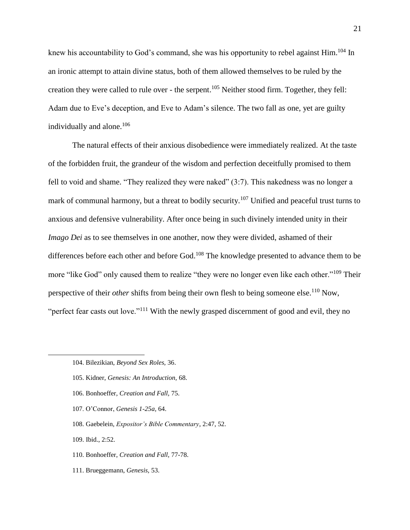knew his accountability to God's command, she was his opportunity to rebel against Him.<sup>104</sup> In an ironic attempt to attain divine status, both of them allowed themselves to be ruled by the creation they were called to rule over - the serpent.<sup>105</sup> Neither stood firm. Together, they fell: Adam due to Eve's deception, and Eve to Adam's silence. The two fall as one, yet are guilty individually and alone.<sup>106</sup>

The natural effects of their anxious disobedience were immediately realized. At the taste of the forbidden fruit, the grandeur of the wisdom and perfection deceitfully promised to them fell to void and shame. "They realized they were naked" (3:7). This nakedness was no longer a mark of communal harmony, but a threat to bodily security.<sup>107</sup> Unified and peaceful trust turns to anxious and defensive vulnerability. After once being in such divinely intended unity in their *Imago Dei* as to see themselves in one another, now they were divided, ashamed of their differences before each other and before God.<sup>108</sup> The knowledge presented to advance them to be more "like God" only caused them to realize "they were no longer even like each other."<sup>109</sup> Their perspective of their *other* shifts from being their own flesh to being someone else.<sup>110</sup> Now, "perfect fear casts out love."<sup>111</sup> With the newly grasped discernment of good and evil, they no

- 105. Kidner, *Genesis: An Introduction,* 68.
- 106. Bonhoeffer, *Creation and Fall,* 75.
- 107. O'Connor, *Genesis 1-25a,* 64.
- 108. Gaebelein, *Expositor's Bible Commentary*, 2:47, 52.
- 109. Ibid., 2:52.

- 110. Bonhoeffer, *Creation and Fall,* 77-78.
- 111. Brueggemann, *Genesis,* 53.

<sup>104.</sup> Bilezikian, *Beyond Sex Roles,* 36.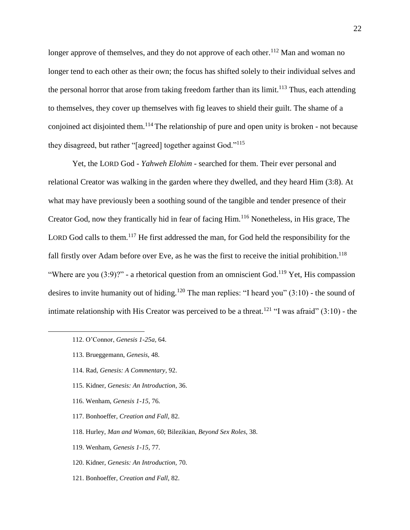longer approve of themselves, and they do not approve of each other.<sup>112</sup> Man and woman no longer tend to each other as their own; the focus has shifted solely to their individual selves and the personal horror that arose from taking freedom farther than its limit.<sup>113</sup> Thus, each attending to themselves, they cover up themselves with fig leaves to shield their guilt. The shame of a conjoined act disjointed them.<sup>114</sup> The relationship of pure and open unity is broken - not because they disagreed, but rather "[agreed] together against God."<sup>115</sup>

Yet, the LORD God - *Yahweh Elohim* - searched for them. Their ever personal and relational Creator was walking in the garden where they dwelled, and they heard Him (3:8). At what may have previously been a soothing sound of the tangible and tender presence of their Creator God, now they frantically hid in fear of facing Him.<sup>116</sup> Nonetheless, in His grace, The LORD God calls to them.<sup>117</sup> He first addressed the man, for God held the responsibility for the fall firstly over Adam before over Eve, as he was the first to receive the initial prohibition.<sup>118</sup> "Where are you  $(3:9)$ ?" - a rhetorical question from an omniscient God.<sup>119</sup> Yet, His compassion desires to invite humanity out of hiding.<sup>120</sup> The man replies: "I heard you"  $(3:10)$  - the sound of intimate relationship with His Creator was perceived to be a threat.<sup>121</sup> "I was afraid"  $(3:10)$  - the

- 115. Kidner, *Genesis: An Introduction*, 36.
- 116. Wenham, *Genesis 1-15,* 76.
- 117. Bonhoeffer, *Creation and Fall,* 82.
- 118. Hurley, *Man and Woman*, 60; Bilezikian, *Beyond Sex Roles,* 38.
- 119. Wenham, *Genesis 1-15,* 77.
- 120. Kidner, *Genesis: An Introduction,* 70.
- 121. Bonhoeffer, *Creation and Fall,* 82.

<sup>112.</sup> O'Connor, *Genesis 1-25a,* 64.

<sup>113.</sup> Brueggemann, *Genesis,* 48.

<sup>114.</sup> Rad, *Genesis: A Commentary*, 92.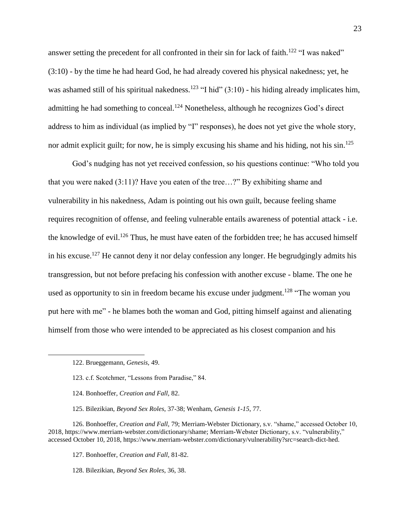answer setting the precedent for all confronted in their sin for lack of faith.<sup>122</sup> "I was naked" (3:10) - by the time he had heard God, he had already covered his physical nakedness; yet, he was ashamed still of his spiritual nakedness.<sup>123</sup> "I hid"  $(3:10)$  - his hiding already implicates him, admitting he had something to conceal.<sup>124</sup> Nonetheless, although he recognizes God's direct address to him as individual (as implied by "I" responses), he does not yet give the whole story, nor admit explicit guilt; for now, he is simply excusing his shame and his hiding, not his  $\sin^{125}$ 

God's nudging has not yet received confession, so his questions continue: "Who told you that you were naked (3:11)? Have you eaten of the tree…?" By exhibiting shame and vulnerability in his nakedness, Adam is pointing out his own guilt, because feeling shame requires recognition of offense, and feeling vulnerable entails awareness of potential attack - i.e. the knowledge of evil.<sup>126</sup> Thus, he must have eaten of the forbidden tree; he has accused himself in his excuse.<sup>127</sup> He cannot deny it nor delay confession any longer. He begrudgingly admits his transgression, but not before prefacing his confession with another excuse - blame. The one he used as opportunity to sin in freedom became his excuse under judgment.<sup>128</sup> "The woman you put here with me" - he blames both the woman and God, pitting himself against and alienating himself from those who were intended to be appreciated as his closest companion and his

 $\overline{a}$ 

125. Bilezikian, *Beyond Sex Roles*, 37-38; Wenham, *Genesis 1-15*, 77.

126. Bonhoeffer, *Creation and Fall,* 79; Merriam-Webster Dictionary, s.v. "shame," accessed October 10, 2018, https://www.merriam-webster.com/dictionary/shame; Merriam-Webster Dictionary, s.v. "vulnerability," accessed October 10, 2018, https://www.merriam-webster.com/dictionary/vulnerability?src=search-dict-hed.

127. Bonhoeffer, *Creation and Fall,* 81-82.

128. Bilezikian, *Beyond Sex Roles*, 36, 38.

<sup>122.</sup> Brueggemann, *Genesis,* 49.

<sup>123.</sup> c.f. Scotchmer, "Lessons from Paradise," 84.

<sup>124.</sup> Bonhoeffer, *Creation and Fall,* 82.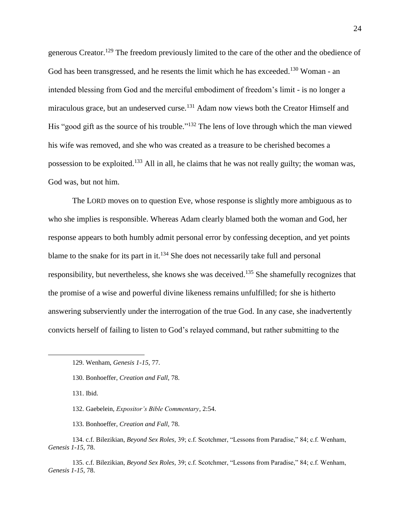generous Creator.<sup>129</sup> The freedom previously limited to the care of the other and the obedience of God has been transgressed, and he resents the limit which he has exceeded.<sup>130</sup> Woman - an intended blessing from God and the merciful embodiment of freedom's limit - is no longer a miraculous grace, but an undeserved curse.<sup>131</sup> Adam now views both the Creator Himself and His "good gift as the source of his trouble."<sup>132</sup> The lens of love through which the man viewed his wife was removed, and she who was created as a treasure to be cherished becomes a possession to be exploited.<sup>133</sup> All in all, he claims that he was not really guilty; the woman was, God was, but not him.

The LORD moves on to question Eve, whose response is slightly more ambiguous as to who she implies is responsible. Whereas Adam clearly blamed both the woman and God, her response appears to both humbly admit personal error by confessing deception, and yet points blame to the snake for its part in it.<sup>134</sup> She does not necessarily take full and personal responsibility, but nevertheless, she knows she was deceived.<sup>135</sup> She shamefully recognizes that the promise of a wise and powerful divine likeness remains unfulfilled; for she is hitherto answering subserviently under the interrogation of the true God. In any case, she inadvertently convicts herself of failing to listen to God's relayed command, but rather submitting to the

131. Ibid.

 $\overline{a}$ 

132. Gaebelein, *Expositor's Bible Commentary*, 2:54.

133. Bonhoeffer, *Creation and Fall,* 78.

134. c.f. Bilezikian, *Beyond Sex Roles,* 39; c.f. Scotchmer, "Lessons from Paradise," 84; c.f. Wenham, *Genesis 1-15,* 78.

135. c.f. Bilezikian, *Beyond Sex Roles,* 39; c.f. Scotchmer, "Lessons from Paradise," 84; c.f. Wenham, *Genesis 1-15,* 78.

<sup>129.</sup> Wenham, *Genesis 1-15*, 77.

<sup>130.</sup> Bonhoeffer, *Creation and Fall,* 78.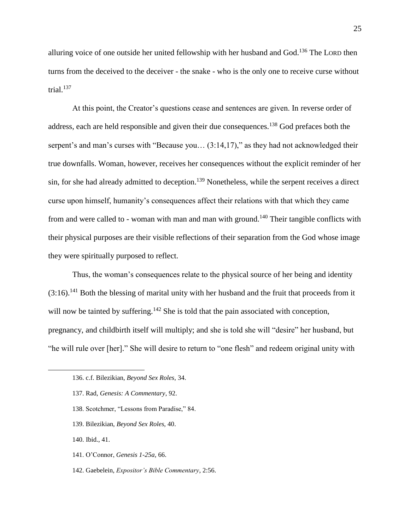alluring voice of one outside her united fellowship with her husband and God.<sup>136</sup> The LORD then turns from the deceived to the deceiver - the snake - who is the only one to receive curse without trial. $137$ 

At this point, the Creator's questions cease and sentences are given. In reverse order of address, each are held responsible and given their due consequences.<sup>138</sup> God prefaces both the serpent's and man's curses with "Because you...  $(3:14,17)$ ," as they had not acknowledged their true downfalls. Woman, however, receives her consequences without the explicit reminder of her sin, for she had already admitted to deception.<sup>139</sup> Nonetheless, while the serpent receives a direct curse upon himself, humanity's consequences affect their relations with that which they came from and were called to - woman with man and man with ground.<sup>140</sup> Their tangible conflicts with their physical purposes are their visible reflections of their separation from the God whose image they were spiritually purposed to reflect.

Thus, the woman's consequences relate to the physical source of her being and identity  $(3:16)$ <sup>141</sup> Both the blessing of marital unity with her husband and the fruit that proceeds from it will now be tainted by suffering.<sup>142</sup> She is told that the pain associated with conception, pregnancy, and childbirth itself will multiply; and she is told she will "desire" her husband, but "he will rule over [her]." She will desire to return to "one flesh" and redeem original unity with

- 138. Scotchmer, "Lessons from Paradise," 84.
- 139. Bilezikian, *Beyond Sex Roles,* 40.
- 140. Ibid., 41.

- 141. O'Connor, *Genesis 1-25a,* 66.
- 142. Gaebelein, *Expositor's Bible Commentary*, 2:56.

<sup>136.</sup> c.f. Bilezikian, *Beyond Sex Roles,* 34.

<sup>137.</sup> Rad, *Genesis: A Commentary*, 92.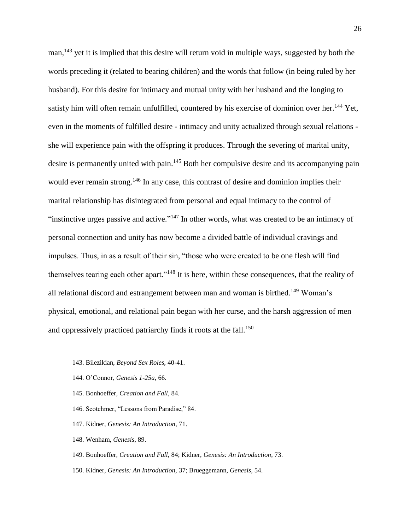man,<sup>143</sup> yet it is implied that this desire will return void in multiple ways, suggested by both the words preceding it (related to bearing children) and the words that follow (in being ruled by her husband). For this desire for intimacy and mutual unity with her husband and the longing to satisfy him will often remain unfulfilled, countered by his exercise of dominion over her.<sup>144</sup> Yet, even in the moments of fulfilled desire - intimacy and unity actualized through sexual relations she will experience pain with the offspring it produces. Through the severing of marital unity, desire is permanently united with pain.<sup>145</sup> Both her compulsive desire and its accompanying pain would ever remain strong.<sup>146</sup> In any case, this contrast of desire and dominion implies their marital relationship has disintegrated from personal and equal intimacy to the control of "instinctive urges passive and active."<sup>147</sup> In other words, what was created to be an intimacy of personal connection and unity has now become a divided battle of individual cravings and impulses. Thus, in as a result of their sin, "those who were created to be one flesh will find themselves tearing each other apart."<sup>148</sup> It is here, within these consequences, that the reality of all relational discord and estrangement between man and woman is birthed.<sup>149</sup> Woman's physical, emotional, and relational pain began with her curse, and the harsh aggression of men and oppressively practiced patriarchy finds it roots at the fall.<sup>150</sup>

- 145. Bonhoeffer, *Creation and Fall,* 84.
- 146. Scotchmer, "Lessons from Paradise," 84.
- 147. Kidner, *Genesis: An Introduction*, 71.
- 148. Wenham, *Genesis*, 89.
- 149. Bonhoeffer, *Creation and Fall,* 84; Kidner, *Genesis: An Introduction*, 73.
- 150. Kidner, *Genesis: An Introduction,* 37; Brueggemann, *Genesis,* 54.

<sup>143.</sup> Bilezikian, *Beyond Sex Roles,* 40-41.

<sup>144.</sup> O'Connor, *Genesis 1-25a,* 66.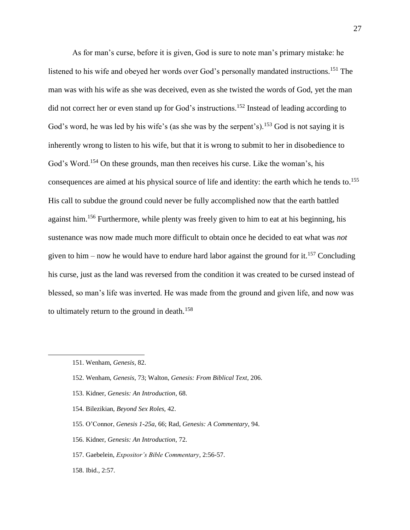As for man's curse, before it is given, God is sure to note man's primary mistake: he listened to his wife and obeyed her words over God's personally mandated instructions.<sup>151</sup> The man was with his wife as she was deceived, even as she twisted the words of God, yet the man did not correct her or even stand up for God's instructions.<sup>152</sup> Instead of leading according to God's word, he was led by his wife's (as she was by the serpent's).<sup>153</sup> God is not saying it is inherently wrong to listen to his wife, but that it is wrong to submit to her in disobedience to God's Word.<sup>154</sup> On these grounds, man then receives his curse. Like the woman's, his consequences are aimed at his physical source of life and identity: the earth which he tends to. 155 His call to subdue the ground could never be fully accomplished now that the earth battled against him.<sup>156</sup> Furthermore, while plenty was freely given to him to eat at his beginning, his sustenance was now made much more difficult to obtain once he decided to eat what was *not* given to him – now he would have to endure hard labor against the ground for it.<sup>157</sup> Concluding his curse, just as the land was reversed from the condition it was created to be cursed instead of blessed, so man's life was inverted. He was made from the ground and given life, and now was to ultimately return to the ground in death.<sup>158</sup>

- 153. Kidner, *Genesis: An Introduction*, 68.
- 154. Bilezikian, *Beyond Sex Roles,* 42.
- 155. O'Connor, *Genesis 1-25a,* 66; Rad, *Genesis: A Commentary*, 94.
- 156. Kidner, *Genesis: An Introduction*, 72.
- 157. Gaebelein, *Expositor's Bible Commentary*, 2:56-57.
- 158. Ibid., 2:57.

<sup>151.</sup> Wenham, *Genesis*, 82.

<sup>152.</sup> Wenham, *Genesis*, 73; Walton, *Genesis: From Biblical Text*, 206.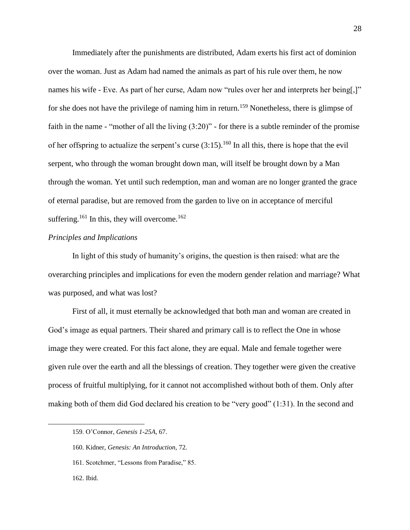Immediately after the punishments are distributed, Adam exerts his first act of dominion over the woman. Just as Adam had named the animals as part of his rule over them, he now names his wife - Eve. As part of her curse, Adam now "rules over her and interprets her being[,]" for she does not have the privilege of naming him in return.<sup>159</sup> Nonetheless, there is glimpse of faith in the name - "mother of all the living (3:20)" - for there is a subtle reminder of the promise of her offspring to actualize the serpent's curse  $(3:15)$ .<sup>160</sup> In all this, there is hope that the evil serpent, who through the woman brought down man, will itself be brought down by a Man through the woman. Yet until such redemption, man and woman are no longer granted the grace of eternal paradise, but are removed from the garden to live on in acceptance of merciful suffering.<sup>161</sup> In this, they will overcome.<sup>162</sup>

#### *Principles and Implications*

In light of this study of humanity's origins, the question is then raised: what are the overarching principles and implications for even the modern gender relation and marriage? What was purposed, and what was lost?

First of all, it must eternally be acknowledged that both man and woman are created in God's image as equal partners. Their shared and primary call is to reflect the One in whose image they were created. For this fact alone, they are equal. Male and female together were given rule over the earth and all the blessings of creation. They together were given the creative process of fruitful multiplying, for it cannot not accomplished without both of them. Only after making both of them did God declared his creation to be "very good" (1:31). In the second and

<sup>159.</sup> O'Connor, *Genesis 1-25A*, 67.

<sup>160.</sup> Kidner, *Genesis: An Introduction,* 72.

<sup>161.</sup> Scotchmer, "Lessons from Paradise," 85.

<sup>162.</sup> Ibid.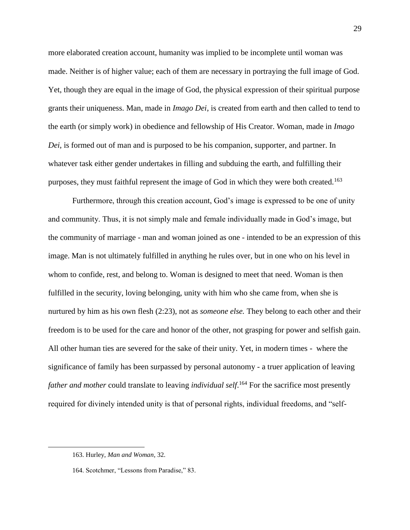more elaborated creation account, humanity was implied to be incomplete until woman was made. Neither is of higher value; each of them are necessary in portraying the full image of God. Yet, though they are equal in the image of God, the physical expression of their spiritual purpose grants their uniqueness. Man, made in *Imago Dei*, is created from earth and then called to tend to the earth (or simply work) in obedience and fellowship of His Creator. Woman, made in *Imago Dei*, is formed out of man and is purposed to be his companion, supporter, and partner. In whatever task either gender undertakes in filling and subduing the earth, and fulfilling their purposes, they must faithful represent the image of God in which they were both created.<sup>163</sup>

Furthermore, through this creation account, God's image is expressed to be one of unity and community. Thus, it is not simply male and female individually made in God's image, but the community of marriage - man and woman joined as one - intended to be an expression of this image. Man is not ultimately fulfilled in anything he rules over, but in one who on his level in whom to confide, rest, and belong to. Woman is designed to meet that need. Woman is then fulfilled in the security, loving belonging, unity with him who she came from, when she is nurtured by him as his own flesh (2:23), not as *someone else.* They belong to each other and their freedom is to be used for the care and honor of the other, not grasping for power and selfish gain. All other human ties are severed for the sake of their unity. Yet, in modern times - where the significance of family has been surpassed by personal autonomy - a truer application of leaving *father and mother* could translate to leaving *individual self*. <sup>164</sup> For the sacrifice most presently required for divinely intended unity is that of personal rights, individual freedoms, and "self-

<sup>163.</sup> Hurley, *Man and Woman*, 32.

<sup>164.</sup> Scotchmer, "Lessons from Paradise," 83.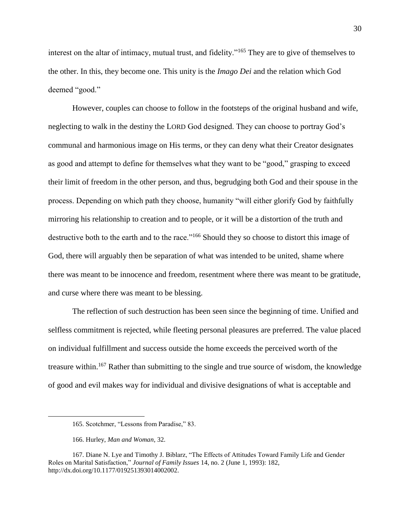interest on the altar of intimacy, mutual trust, and fidelity."<sup>165</sup> They are to give of themselves to the other. In this, they become one. This unity is the *Imago Dei* and the relation which God deemed "good."

However, couples can choose to follow in the footsteps of the original husband and wife, neglecting to walk in the destiny the LORD God designed. They can choose to portray God's communal and harmonious image on His terms, or they can deny what their Creator designates as good and attempt to define for themselves what they want to be "good," grasping to exceed their limit of freedom in the other person, and thus, begrudging both God and their spouse in the process. Depending on which path they choose, humanity "will either glorify God by faithfully mirroring his relationship to creation and to people, or it will be a distortion of the truth and destructive both to the earth and to the race."<sup>166</sup> Should they so choose to distort this image of God, there will arguably then be separation of what was intended to be united, shame where there was meant to be innocence and freedom, resentment where there was meant to be gratitude, and curse where there was meant to be blessing.

The reflection of such destruction has been seen since the beginning of time. Unified and selfless commitment is rejected, while fleeting personal pleasures are preferred. The value placed on individual fulfillment and success outside the home exceeds the perceived worth of the treasure within.<sup>167</sup> Rather than submitting to the single and true source of wisdom, the knowledge of good and evil makes way for individual and divisive designations of what is acceptable and

<sup>165.</sup> Scotchmer, "Lessons from Paradise," 83.

<sup>166.</sup> Hurley, *Man and Woman*, 32.

<sup>167.</sup> Diane N. Lye and Timothy J. Biblarz, "The Effects of Attitudes Toward Family Life and Gender Roles on Marital Satisfaction," *Journal of Family Issues* 14, no. 2 (June 1, 1993): 182, http://dx.doi.org/10.1177/019251393014002002.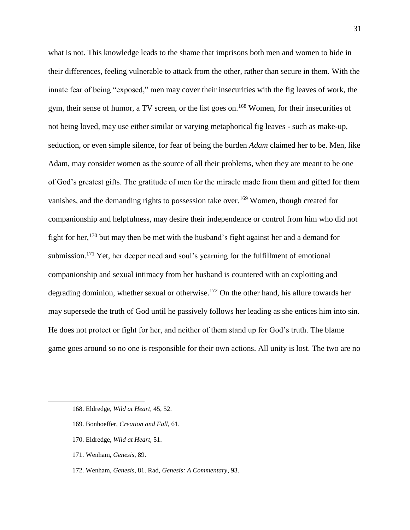what is not. This knowledge leads to the shame that imprisons both men and women to hide in their differences, feeling vulnerable to attack from the other, rather than secure in them. With the innate fear of being "exposed," men may cover their insecurities with the fig leaves of work, the gym, their sense of humor, a TV screen, or the list goes on.<sup>168</sup> Women, for their insecurities of not being loved, may use either similar or varying metaphorical fig leaves - such as make-up, seduction, or even simple silence, for fear of being the burden *Adam* claimed her to be. Men, like Adam, may consider women as the source of all their problems, when they are meant to be one of God's greatest gifts. The gratitude of men for the miracle made from them and gifted for them vanishes, and the demanding rights to possession take over.<sup>169</sup> Women, though created for companionship and helpfulness, may desire their independence or control from him who did not fight for her,<sup>170</sup> but may then be met with the husband's fight against her and a demand for submission.<sup>171</sup> Yet, her deeper need and soul's yearning for the fulfillment of emotional companionship and sexual intimacy from her husband is countered with an exploiting and degrading dominion, whether sexual or otherwise.<sup>172</sup> On the other hand, his allure towards her may supersede the truth of God until he passively follows her leading as she entices him into sin. He does not protect or fight for her, and neither of them stand up for God's truth. The blame game goes around so no one is responsible for their own actions. All unity is lost. The two are no

- 170. Eldredge, *Wild at Heart,* 51.
- 171. Wenham, *Genesis*, 89.

 $\overline{a}$ 

172. Wenham, *Genesis*, 81. Rad, *Genesis: A Commentary*, 93.

<sup>168.</sup> Eldredge, *Wild at Heart,* 45, 52.

<sup>169.</sup> Bonhoeffer, *Creation and Fall,* 61.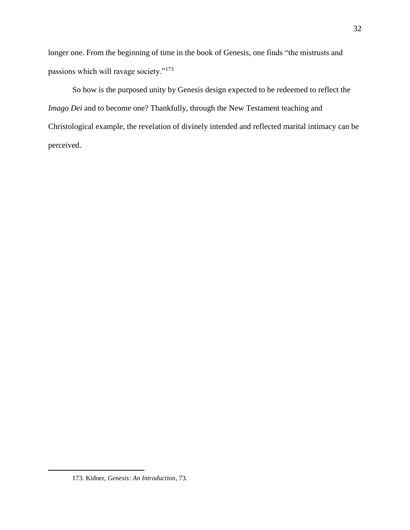longer one. From the beginning of time in the book of Genesis, one finds "the mistrusts and passions which will ravage society."<sup>173</sup>

So how is the purposed unity by Genesis design expected to be redeemed to reflect the *Imago Dei* and to become one? Thankfully, through the New Testament teaching and Christological example, the revelation of divinely intended and reflected marital intimacy can be perceived.

<sup>173.</sup> Kidner, *Genesis: An Introduction*, 73.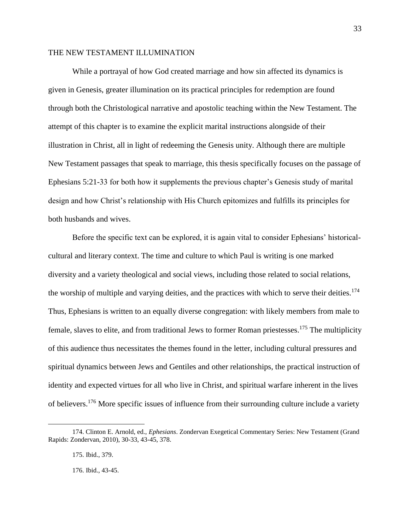#### THE NEW TESTAMENT ILLUMINATION

While a portrayal of how God created marriage and how sin affected its dynamics is given in Genesis, greater illumination on its practical principles for redemption are found through both the Christological narrative and apostolic teaching within the New Testament. The attempt of this chapter is to examine the explicit marital instructions alongside of their illustration in Christ, all in light of redeeming the Genesis unity. Although there are multiple New Testament passages that speak to marriage, this thesis specifically focuses on the passage of Ephesians 5:21-33 for both how it supplements the previous chapter's Genesis study of marital design and how Christ's relationship with His Church epitomizes and fulfills its principles for both husbands and wives.

Before the specific text can be explored, it is again vital to consider Ephesians' historicalcultural and literary context. The time and culture to which Paul is writing is one marked diversity and a variety theological and social views, including those related to social relations, the worship of multiple and varying deities, and the practices with which to serve their deities.<sup>174</sup> Thus, Ephesians is written to an equally diverse congregation: with likely members from male to female, slaves to elite, and from traditional Jews to former Roman priestesses.<sup>175</sup> The multiplicity of this audience thus necessitates the themes found in the letter, including cultural pressures and spiritual dynamics between Jews and Gentiles and other relationships, the practical instruction of identity and expected virtues for all who live in Christ, and spiritual warfare inherent in the lives of believers.<sup>176</sup> More specific issues of influence from their surrounding culture include a variety

 $\overline{a}$ 

176. Ibid., 43-45.

<sup>174.</sup> Clinton E. Arnold, ed., *Ephesians*. Zondervan Exegetical Commentary Series: New Testament (Grand Rapids: Zondervan, 2010), 30-33, 43-45, 378.

<sup>175.</sup> Ibid., 379.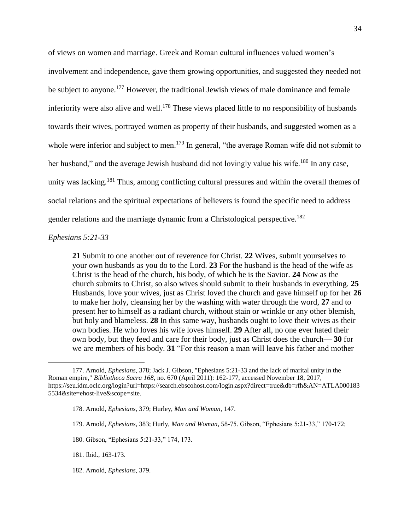of views on women and marriage. Greek and Roman cultural influences valued women's involvement and independence, gave them growing opportunities, and suggested they needed not be subject to anyone.<sup>177</sup> However, the traditional Jewish views of male dominance and female inferiority were also alive and well.<sup>178</sup> These views placed little to no responsibility of husbands towards their wives, portrayed women as property of their husbands, and suggested women as a whole were inferior and subject to men.<sup>179</sup> In general, "the average Roman wife did not submit to her husband," and the average Jewish husband did not lovingly value his wife.<sup>180</sup> In any case, unity was lacking.<sup>181</sup> Thus, among conflicting cultural pressures and within the overall themes of social relations and the spiritual expectations of believers is found the specific need to address gender relations and the marriage dynamic from a Christological perspective.<sup>182</sup>

#### *Ephesians 5:21-33*

 $\overline{a}$ 

**21** Submit to one another out of reverence for Christ. **22** Wives, submit yourselves to your own husbands as you do to the Lord. **23** For the husband is the head of the wife as Christ is the head of the church, his body, of which he is the Savior. **24** Now as the church submits to Christ, so also wives should submit to their husbands in everything. **25** Husbands, love your wives, just as Christ loved the church and gave himself up for her **26**  to make her holy, cleansing her by the washing with water through the word, **27** and to present her to himself as a radiant church, without stain or wrinkle or any other blemish, but holy and blameless. **28** In this same way, husbands ought to love their wives as their own bodies. He who loves his wife loves himself. **29** After all, no one ever hated their own body, but they feed and care for their body, just as Christ does the church— **30** for we are members of his body. **31** "For this reason a man will leave his father and mother

182. Arnold, *Ephesians,* 379.

<sup>177.</sup> Arnold, *Ephesians,* 378; Jack J. Gibson, "Ephesians 5:21-33 and the lack of marital unity in the Roman empire," *Bibliotheca Sacra 168*, no. 670 (April 2011): 162-177, accessed November 18, 2017, https://seu.idm.oclc.org/login?url=https://search.ebscohost.com/login.aspx?direct=true&db=rfh&AN=ATLA000183 5534&site=ehost-live&scope=site.

<sup>178.</sup> Arnold, *Ephesians,* 379; Hurley, *Man and Woman,* 147.

<sup>179.</sup> Arnold, *Ephesians,* 383; Hurly, *Man and Woman*, 58-75. Gibson, "Ephesians 5:21-33," 170-172;

<sup>180.</sup> Gibson, "Ephesians 5:21-33," 174, 173.

<sup>181.</sup> Ibid., 163-173.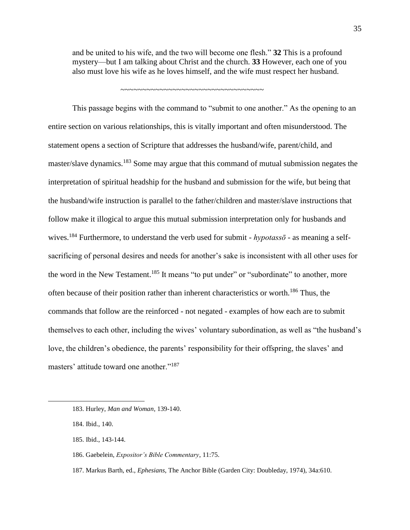and be united to his wife, and the two will become one flesh." **32** This is a profound mystery—but I am talking about Christ and the church. **33** However, each one of you also must love his wife as he loves himself, and the wife must respect her husband.

~~~~~~~~~~~~~~~~~~~~~~~~~~~~~~~~~

This passage begins with the command to "submit to one another." As the opening to an entire section on various relationships, this is vitally important and often misunderstood. The statement opens a section of Scripture that addresses the husband/wife, parent/child, and master/slave dynamics.<sup>183</sup> Some may argue that this command of mutual submission negates the interpretation of spiritual headship for the husband and submission for the wife, but being that the husband/wife instruction is parallel to the father/children and master/slave instructions that follow make it illogical to argue this mutual submission interpretation only for husbands and wives.<sup>184</sup> Furthermore, to understand the verb used for submit - *hypotassō* - as meaning a selfsacrificing of personal desires and needs for another's sake is inconsistent with all other uses for the word in the New Testament.<sup>185</sup> It means "to put under" or "subordinate" to another, more often because of their position rather than inherent characteristics or worth.<sup>186</sup> Thus, the commands that follow are the reinforced - not negated - examples of how each are to submit themselves to each other, including the wives' voluntary subordination, as well as "the husband's love, the children's obedience, the parents' responsibility for their offspring, the slaves' and masters' attitude toward one another."<sup>187</sup>

<sup>183.</sup> Hurley, *Man and Woman*, 139-140.

<sup>184.</sup> Ibid., 140.

<sup>185.</sup> Ibid., 143-144.

<sup>186.</sup> Gaebelein, *Expositor's Bible Commentary*, 11:75.

<sup>187.</sup> Markus Barth, ed., *Ephesians*, The Anchor Bible (Garden City: Doubleday, 1974), 34a:610.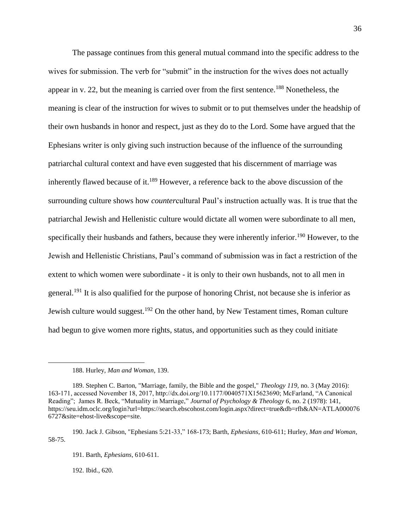The passage continues from this general mutual command into the specific address to the wives for submission. The verb for "submit" in the instruction for the wives does not actually appear in v. 22, but the meaning is carried over from the first sentence.<sup>188</sup> Nonetheless, the meaning is clear of the instruction for wives to submit or to put themselves under the headship of their own husbands in honor and respect, just as they do to the Lord. Some have argued that the Ephesians writer is only giving such instruction because of the influence of the surrounding patriarchal cultural context and have even suggested that his discernment of marriage was inherently flawed because of it.<sup>189</sup> However, a reference back to the above discussion of the surrounding culture shows how *counter*cultural Paul's instruction actually was. It is true that the patriarchal Jewish and Hellenistic culture would dictate all women were subordinate to all men, specifically their husbands and fathers, because they were inherently inferior.<sup>190</sup> However, to the Jewish and Hellenistic Christians, Paul's command of submission was in fact a restriction of the extent to which women were subordinate - it is only to their own husbands, not to all men in general.<sup>191</sup> It is also qualified for the purpose of honoring Christ, not because she is inferior as Jewish culture would suggest.<sup>192</sup> On the other hand, by New Testament times, Roman culture had begun to give women more rights, status, and opportunities such as they could initiate

192. Ibid., 620.

<sup>188.</sup> Hurley, *Man and Woman*, 139.

<sup>189.</sup> Stephen C. Barton, "Marriage, family, the Bible and the gospel," *Theology 119,* no. 3 (May 2016): 163-171, accessed November 18, 2017, http://dx.doi.org/10.1177/0040571X15623690; McFarland, "A Canonical Reading"; James R. Beck, "Mutuality in Marriage," *Journal of Psychology & Theology 6,* no. 2 (1978): 141, https://seu.idm.oclc.org/login?url=https://search.ebscohost.com/login.aspx?direct=true&db=rfh&AN=ATLA000076 6727&site=ehost-live&scope=site.

<sup>190.</sup> Jack J. Gibson, "Ephesians 5:21-33," 168-173; Barth, *Ephesians*, 610-611; Hurley, *Man and Woman*, 58-75.

<sup>191.</sup> Barth, *Ephesians*, 610-611.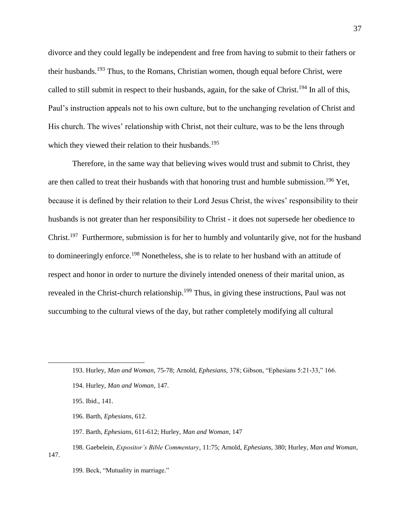divorce and they could legally be independent and free from having to submit to their fathers or their husbands.<sup>193</sup> Thus, to the Romans, Christian women, though equal before Christ, were called to still submit in respect to their husbands, again, for the sake of Christ.<sup>194</sup> In all of this, Paul's instruction appeals not to his own culture, but to the unchanging revelation of Christ and His church. The wives' relationship with Christ, not their culture, was to be the lens through which they viewed their relation to their husbands.<sup>195</sup>

Therefore, in the same way that believing wives would trust and submit to Christ, they are then called to treat their husbands with that honoring trust and humble submission.<sup>196</sup> Yet, because it is defined by their relation to their Lord Jesus Christ, the wives' responsibility to their husbands is not greater than her responsibility to Christ - it does not supersede her obedience to Christ.<sup>197</sup> Furthermore, submission is for her to humbly and voluntarily give, not for the husband to domineeringly enforce.<sup>198</sup> Nonetheless, she is to relate to her husband with an attitude of respect and honor in order to nurture the divinely intended oneness of their marital union, as revealed in the Christ-church relationship.<sup>199</sup> Thus, in giving these instructions, Paul was not succumbing to the cultural views of the day, but rather completely modifying all cultural

- 196. Barth, *Ephesians*, 612.
- 197. Barth, *Ephesians*, 611-612; Hurley, *Man and Woman*, 147
- 198. Gaebelein, *Expositor's Bible Commentary*, 11:75; Arnold, *Ephesians,* 380; Hurley, *Man and Woman*,

147.

<sup>193.</sup> Hurley, *Man and Woman*, 75-78; Arnold, *Ephesians,* 378; Gibson, "Ephesians 5:21-33," 166.

<sup>194.</sup> Hurley, *Man and Woman*, 147.

<sup>195.</sup> Ibid., 141.

<sup>199.</sup> Beck, "Mutuality in marriage."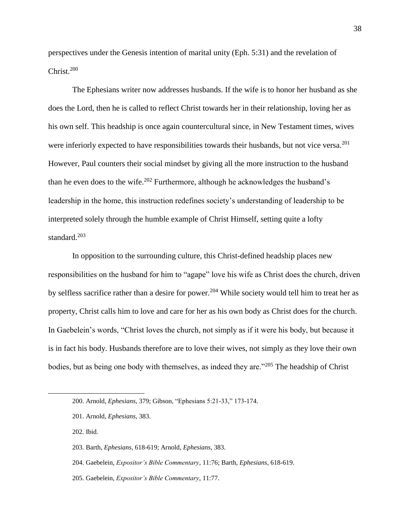perspectives under the Genesis intention of marital unity (Eph. 5:31) and the revelation of Christ.<sup>200</sup>

The Ephesians writer now addresses husbands. If the wife is to honor her husband as she does the Lord, then he is called to reflect Christ towards her in their relationship, loving her as his own self. This headship is once again countercultural since, in New Testament times, wives were inferiorly expected to have responsibilities towards their husbands, but not vice versa.<sup>201</sup> However, Paul counters their social mindset by giving all the more instruction to the husband than he even does to the wife.<sup>202</sup> Furthermore, although he acknowledges the husband's leadership in the home, this instruction redefines society's understanding of leadership to be interpreted solely through the humble example of Christ Himself, setting quite a lofty standard.<sup>203</sup>

In opposition to the surrounding culture, this Christ-defined headship places new responsibilities on the husband for him to "agape" love his wife as Christ does the church, driven by selfless sacrifice rather than a desire for power.<sup>204</sup> While society would tell him to treat her as property, Christ calls him to love and care for her as his own body as Christ does for the church. In Gaebelein's words, "Christ loves the church, not simply as if it were his body, but because it is in fact his body. Husbands therefore are to love their wives, not simply as they love their own bodies, but as being one body with themselves, as indeed they are."<sup>205</sup> The headship of Christ

202. Ibid.

- 204. Gaebelein, *Expositor's Bible Commentary*, 11:76; Barth, *Ephesians*, 618-619.
- 205. Gaebelein, *Expositor's Bible Commentary*, 11:77.

<sup>200.</sup> Arnold, *Ephesians,* 379; Gibson, "Ephesians 5:21-33," 173-174.

<sup>201.</sup> Arnold, *Ephesians,* 383.

<sup>203.</sup> Barth, *Ephesians*, 618-619; Arnold, *Ephesians,* 383.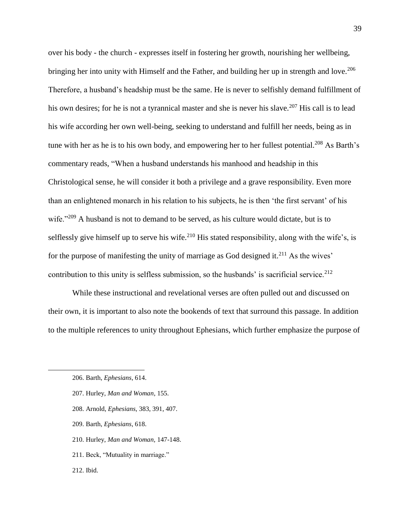over his body - the church - expresses itself in fostering her growth, nourishing her wellbeing, bringing her into unity with Himself and the Father, and building her up in strength and love.<sup>206</sup> Therefore, a husband's headship must be the same. He is never to selfishly demand fulfillment of his own desires; for he is not a tyrannical master and she is never his slave.<sup>207</sup> His call is to lead his wife according her own well-being, seeking to understand and fulfill her needs, being as in tune with her as he is to his own body, and empowering her to her fullest potential.<sup>208</sup> As Barth's commentary reads, "When a husband understands his manhood and headship in this Christological sense, he will consider it both a privilege and a grave responsibility. Even more than an enlightened monarch in his relation to his subjects, he is then 'the first servant' of his wife."<sup>209</sup> A husband is not to demand to be served, as his culture would dictate, but is to selflessly give himself up to serve his wife.<sup>210</sup> His stated responsibility, along with the wife's, is for the purpose of manifesting the unity of marriage as God designed it.<sup>211</sup> As the wives' contribution to this unity is selfless submission, so the husbands' is sacrificial service.<sup>212</sup>

While these instructional and revelational verses are often pulled out and discussed on their own, it is important to also note the bookends of text that surround this passage. In addition to the multiple references to unity throughout Ephesians, which further emphasize the purpose of

- 207. Hurley, *Man and Woman*, 155.
- 208. Arnold, *Ephesians*, 383, 391, 407.
- 209. Barth, *Ephesians*, 618.
- 210. Hurley, *Man and Woman,* 147-148.
- 211. Beck, "Mutuality in marriage."
- 212. Ibid.

<sup>206.</sup> Barth, *Ephesians*, 614.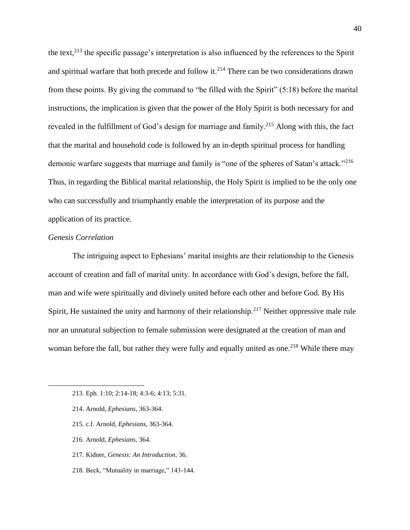the text,  $2^{13}$  the specific passage's interpretation is also influenced by the references to the Spirit and spiritual warfare that both precede and follow it.<sup>214</sup> There can be two considerations drawn from these points. By giving the command to "be filled with the Spirit" (5:18) before the marital instructions, the implication is given that the power of the Holy Spirit is both necessary for and revealed in the fulfillment of God's design for marriage and family.<sup>215</sup> Along with this, the fact that the marital and household code is followed by an in-depth spiritual process for handling demonic warfare suggests that marriage and family is "one of the spheres of Satan's attack."<sup>216</sup> Thus, in regarding the Biblical marital relationship, the Holy Spirit is implied to be the only one who can successfully and triumphantly enable the interpretation of its purpose and the application of its practice.

#### *Genesis Correlation*

 $\overline{a}$ 

The intriguing aspect to Ephesians' marital insights are their relationship to the Genesis account of creation and fall of marital unity. In accordance with God's design, before the fall, man and wife were spiritually and divinely united before each other and before God. By His Spirit, He sustained the unity and harmony of their relationship.<sup>217</sup> Neither oppressive male rule nor an unnatural subjection to female submission were designated at the creation of man and woman before the fall, but rather they were fully and equally united as one.<sup>218</sup> While there may

- 214. Arnold, *Ephesians,* 363-364.
- 215. c.f. Arnold, *Ephesians,* 363-364.
- 216. Arnold, *Ephesians,* 364.
- 217. Kidner, *Genesis: An Introduction,* 36.
- 218. Beck, "Mutuality in marriage," 143-144.

<sup>213.</sup> Eph. 1:10; 2:14-18; 4:3-6; 4:13; 5:31.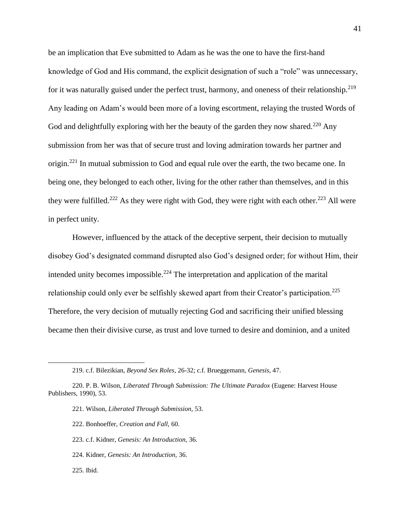be an implication that Eve submitted to Adam as he was the one to have the first-hand knowledge of God and His command, the explicit designation of such a "role" was unnecessary, for it was naturally guised under the perfect trust, harmony, and oneness of their relationship.<sup>219</sup> Any leading on Adam's would been more of a loving escortment, relaying the trusted Words of God and delightfully exploring with her the beauty of the garden they now shared.<sup>220</sup> Any submission from her was that of secure trust and loving admiration towards her partner and origin.<sup>221</sup> In mutual submission to God and equal rule over the earth, the two became one. In being one, they belonged to each other, living for the other rather than themselves, and in this they were fulfilled.<sup>222</sup> As they were right with God, they were right with each other.<sup>223</sup> All were in perfect unity.

However, influenced by the attack of the deceptive serpent, their decision to mutually disobey God's designated command disrupted also God's designed order; for without Him, their intended unity becomes impossible.<sup>224</sup> The interpretation and application of the marital relationship could only ever be selfishly skewed apart from their Creator's participation.<sup>225</sup> Therefore, the very decision of mutually rejecting God and sacrificing their unified blessing became then their divisive curse, as trust and love turned to desire and dominion, and a united

- 221. Wilson, *Liberated Through Submission,* 53.
- 222. Bonhoeffer, *Creation and Fall,* 60.
- 223. c.f. Kidner, *Genesis: An Introduction,* 36.
- 224. Kidner, *Genesis: An Introduction,* 36.
- 225. Ibid.

<sup>219.</sup> c.f. Bilezikian, *Beyond Sex Roles*, 26-32; c.f. Brueggemann, *Genesis*, 47.

<sup>220.</sup> P. B. Wilson, *Liberated Through Submission: The Ultimate Paradox* (Eugene: Harvest House Publishers, 1990), 53.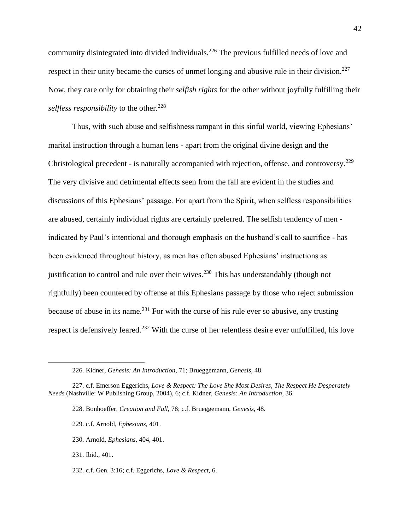community disintegrated into divided individuals.<sup>226</sup> The previous fulfilled needs of love and respect in their unity became the curses of unmet longing and abusive rule in their division.<sup>227</sup> Now, they care only for obtaining their *selfish rights* for the other without joyfully fulfilling their *selfless responsibility* to the other.<sup>228</sup>

Thus, with such abuse and selfishness rampant in this sinful world, viewing Ephesians' marital instruction through a human lens - apart from the original divine design and the Christological precedent - is naturally accompanied with rejection, offense, and controversy.<sup>229</sup> The very divisive and detrimental effects seen from the fall are evident in the studies and discussions of this Ephesians' passage. For apart from the Spirit, when selfless responsibilities are abused, certainly individual rights are certainly preferred. The selfish tendency of men indicated by Paul's intentional and thorough emphasis on the husband's call to sacrifice - has been evidenced throughout history, as men has often abused Ephesians' instructions as justification to control and rule over their wives.<sup>230</sup> This has understandably (though not rightfully) been countered by offense at this Ephesians passage by those who reject submission because of abuse in its name.<sup>231</sup> For with the curse of his rule ever so abusive, any trusting respect is defensively feared.<sup>232</sup> With the curse of her relentless desire ever unfulfilled, his love

- 228. Bonhoeffer, *Creation and Fall,* 78; c.f. Brueggemann, *Genesis,* 48.
- 229. c.f. Arnold, *Ephesians,* 401.
- 230. Arnold, *Ephesians,* 404, 401.
- 231. Ibid.*,* 401.

 $\overline{a}$ 

232. c.f. Gen. 3:16; c.f. Eggerichs, *Love & Respect,* 6.

<sup>226.</sup> Kidner, *Genesis: An Introduction,* 71; Brueggemann, *Genesis,* 48.

<sup>227.</sup> c.f. Emerson Eggerichs, *Love & Respect: The Love She Most Desires, The Respect He Desperately Needs* (Nashville: W Publishing Group, 2004), 6; c.f. Kidner, *Genesis: An Introduction,* 36.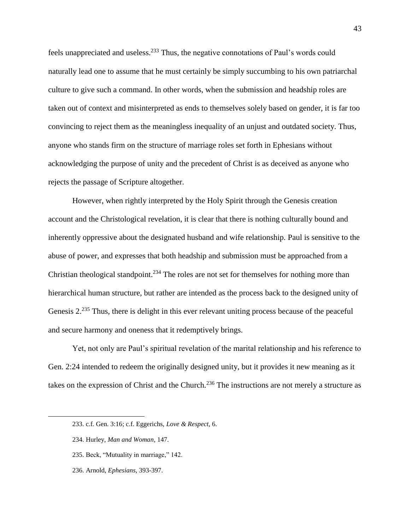feels unappreciated and useless.<sup>233</sup> Thus, the negative connotations of Paul's words could naturally lead one to assume that he must certainly be simply succumbing to his own patriarchal culture to give such a command. In other words, when the submission and headship roles are taken out of context and misinterpreted as ends to themselves solely based on gender, it is far too convincing to reject them as the meaningless inequality of an unjust and outdated society. Thus, anyone who stands firm on the structure of marriage roles set forth in Ephesians without acknowledging the purpose of unity and the precedent of Christ is as deceived as anyone who rejects the passage of Scripture altogether.

However, when rightly interpreted by the Holy Spirit through the Genesis creation account and the Christological revelation, it is clear that there is nothing culturally bound and inherently oppressive about the designated husband and wife relationship. Paul is sensitive to the abuse of power, and expresses that both headship and submission must be approached from a Christian theological standpoint.<sup>234</sup> The roles are not set for themselves for nothing more than hierarchical human structure, but rather are intended as the process back to the designed unity of Genesis 2<sup>235</sup> Thus, there is delight in this ever relevant uniting process because of the peaceful and secure harmony and oneness that it redemptively brings.

Yet, not only are Paul's spiritual revelation of the marital relationship and his reference to Gen. 2:24 intended to redeem the originally designed unity, but it provides it new meaning as it takes on the expression of Christ and the Church.<sup>236</sup> The instructions are not merely a structure as

- 235. Beck, "Mutuality in marriage," 142.
- 236. Arnold, *Ephesians,* 393-397.

<sup>233.</sup> c.f. Gen. 3:16; c.f. Eggerichs, *Love & Respect,* 6.

<sup>234.</sup> Hurley, *Man and Woman*, 147.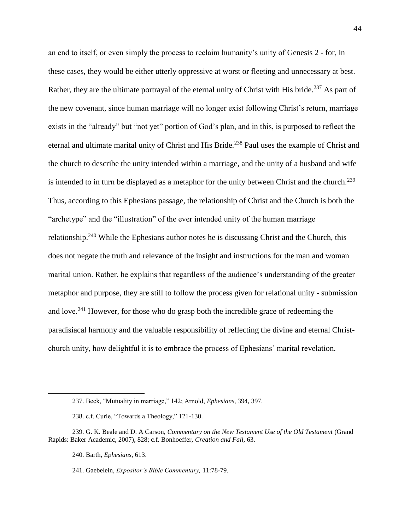an end to itself, or even simply the process to reclaim humanity's unity of Genesis 2 - for, in these cases, they would be either utterly oppressive at worst or fleeting and unnecessary at best. Rather, they are the ultimate portrayal of the eternal unity of Christ with His bride.<sup>237</sup> As part of the new covenant, since human marriage will no longer exist following Christ's return, marriage exists in the "already" but "not yet" portion of God's plan, and in this, is purposed to reflect the eternal and ultimate marital unity of Christ and His Bride.<sup>238</sup> Paul uses the example of Christ and the church to describe the unity intended within a marriage, and the unity of a husband and wife is intended to in turn be displayed as a metaphor for the unity between Christ and the church.<sup>239</sup> Thus, according to this Ephesians passage, the relationship of Christ and the Church is both the "archetype" and the "illustration" of the ever intended unity of the human marriage relationship.<sup>240</sup> While the Ephesians author notes he is discussing Christ and the Church, this does not negate the truth and relevance of the insight and instructions for the man and woman marital union. Rather, he explains that regardless of the audience's understanding of the greater metaphor and purpose, they are still to follow the process given for relational unity - submission and love.<sup>241</sup> However, for those who do grasp both the incredible grace of redeeming the paradisiacal harmony and the valuable responsibility of reflecting the divine and eternal Christchurch unity, how delightful it is to embrace the process of Ephesians' marital revelation.

<sup>237.</sup> Beck, "Mutuality in marriage," 142; Arnold, *Ephesians,* 394, 397.

<sup>238.</sup> c.f. Curle, "Towards a Theology," 121-130.

<sup>239.</sup> G. K. Beale and D. A Carson, *Commentary on the New Testament Use of the Old Testament* (Grand Rapids: Baker Academic, 2007), 828; c.f. Bonhoeffer, *Creation and Fall,* 63.

<sup>240.</sup> Barth, *Ephesians,* 613.

<sup>241.</sup> Gaebelein, *Expositor's Bible Commentary,* 11:78-79.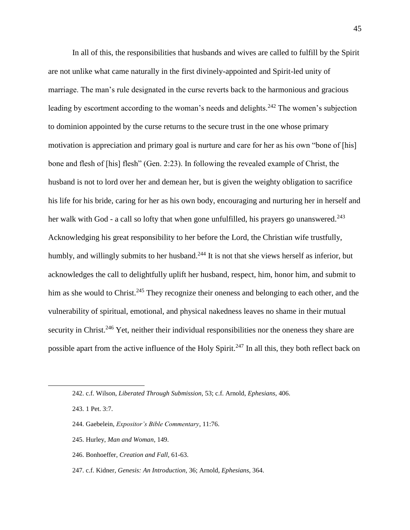In all of this, the responsibilities that husbands and wives are called to fulfill by the Spirit are not unlike what came naturally in the first divinely-appointed and Spirit-led unity of marriage. The man's rule designated in the curse reverts back to the harmonious and gracious leading by escortment according to the woman's needs and delights.<sup>242</sup> The women's subjection to dominion appointed by the curse returns to the secure trust in the one whose primary motivation is appreciation and primary goal is nurture and care for her as his own "bone of [his] bone and flesh of [his] flesh" (Gen. 2:23). In following the revealed example of Christ, the husband is not to lord over her and demean her, but is given the weighty obligation to sacrifice his life for his bride, caring for her as his own body, encouraging and nurturing her in herself and her walk with God - a call so lofty that when gone unfulfilled, his prayers go unanswered.<sup>243</sup> Acknowledging his great responsibility to her before the Lord, the Christian wife trustfully, humbly, and willingly submits to her husband.<sup>244</sup> It is not that she views herself as inferior, but acknowledges the call to delightfully uplift her husband, respect, him, honor him, and submit to him as she would to Christ.<sup>245</sup> They recognize their oneness and belonging to each other, and the vulnerability of spiritual, emotional, and physical nakedness leaves no shame in their mutual security in Christ.<sup>246</sup> Yet, neither their individual responsibilities nor the oneness they share are possible apart from the active influence of the Holy Spirit.<sup>247</sup> In all this, they both reflect back on

- 244. Gaebelein, *Expositor's Bible Commentary*, 11:76.
- 245. Hurley, *Man and Woman*, 149.
- 246. Bonhoeffer, *Creation and Fall,* 61-63.
- 247. c.f. Kidner, *Genesis: An Introduction,* 36; Arnold, *Ephesians,* 364.

<sup>242.</sup> c.f. Wilson, *Liberated Through Submission,* 53; c.f. Arnold, *Ephesians,* 406.

<sup>243.</sup> 1 Pet. 3:7.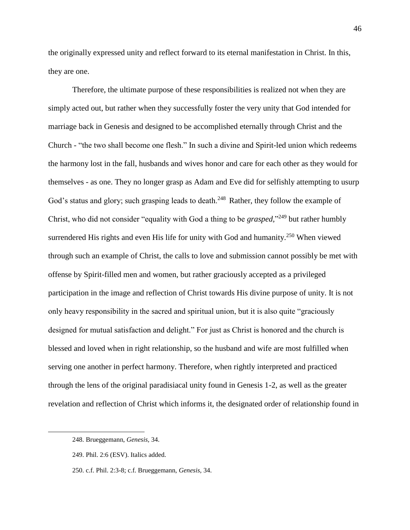the originally expressed unity and reflect forward to its eternal manifestation in Christ. In this, they are one.

Therefore, the ultimate purpose of these responsibilities is realized not when they are simply acted out, but rather when they successfully foster the very unity that God intended for marriage back in Genesis and designed to be accomplished eternally through Christ and the Church - "the two shall become one flesh." In such a divine and Spirit-led union which redeems the harmony lost in the fall, husbands and wives honor and care for each other as they would for themselves - as one. They no longer grasp as Adam and Eve did for selfishly attempting to usurp God's status and glory; such grasping leads to death.<sup>248</sup> Rather, they follow the example of Christ, who did not consider "equality with God a thing to be *grasped,*" <sup>249</sup> but rather humbly surrendered His rights and even His life for unity with God and humanity.<sup>250</sup> When viewed through such an example of Christ, the calls to love and submission cannot possibly be met with offense by Spirit-filled men and women, but rather graciously accepted as a privileged participation in the image and reflection of Christ towards His divine purpose of unity. It is not only heavy responsibility in the sacred and spiritual union, but it is also quite "graciously designed for mutual satisfaction and delight." For just as Christ is honored and the church is blessed and loved when in right relationship, so the husband and wife are most fulfilled when serving one another in perfect harmony. Therefore, when rightly interpreted and practiced through the lens of the original paradisiacal unity found in Genesis 1-2, as well as the greater revelation and reflection of Christ which informs it, the designated order of relationship found in

<sup>248.</sup> Brueggemann, *Genesis,* 34.

<sup>249.</sup> Phil. 2:6 (ESV). Italics added.

<sup>250.</sup> c.f. Phil. 2:3-8; c.f. Brueggemann, *Genesis,* 34.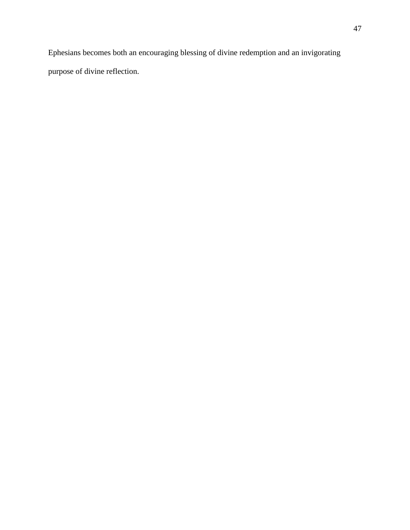Ephesians becomes both an encouraging blessing of divine redemption and an invigorating purpose of divine reflection.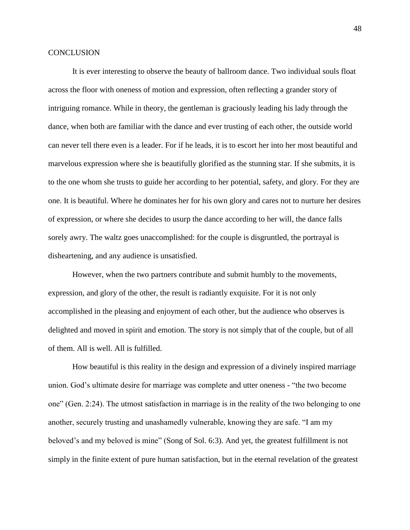#### **CONCLUSION**

It is ever interesting to observe the beauty of ballroom dance. Two individual souls float across the floor with oneness of motion and expression, often reflecting a grander story of intriguing romance. While in theory, the gentleman is graciously leading his lady through the dance, when both are familiar with the dance and ever trusting of each other, the outside world can never tell there even is a leader. For if he leads, it is to escort her into her most beautiful and marvelous expression where she is beautifully glorified as the stunning star. If she submits, it is to the one whom she trusts to guide her according to her potential, safety, and glory. For they are one. It is beautiful. Where he dominates her for his own glory and cares not to nurture her desires of expression, or where she decides to usurp the dance according to her will, the dance falls sorely awry. The waltz goes unaccomplished: for the couple is disgruntled, the portrayal is disheartening, and any audience is unsatisfied.

However, when the two partners contribute and submit humbly to the movements, expression, and glory of the other, the result is radiantly exquisite. For it is not only accomplished in the pleasing and enjoyment of each other, but the audience who observes is delighted and moved in spirit and emotion. The story is not simply that of the couple, but of all of them. All is well. All is fulfilled.

How beautiful is this reality in the design and expression of a divinely inspired marriage union. God's ultimate desire for marriage was complete and utter oneness - "the two become one" (Gen. 2:24). The utmost satisfaction in marriage is in the reality of the two belonging to one another, securely trusting and unashamedly vulnerable, knowing they are safe. "I am my beloved's and my beloved is mine" (Song of Sol. 6:3). And yet, the greatest fulfillment is not simply in the finite extent of pure human satisfaction, but in the eternal revelation of the greatest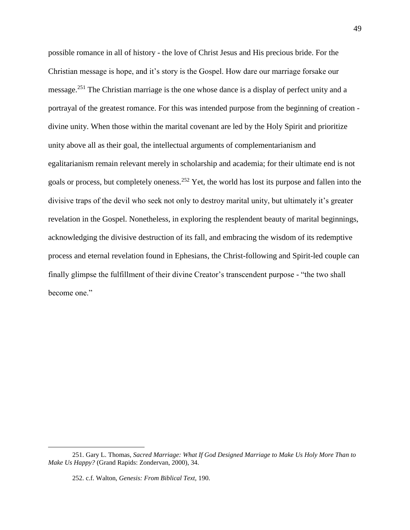possible romance in all of history - the love of Christ Jesus and His precious bride. For the Christian message is hope, and it's story is the Gospel. How dare our marriage forsake our message.<sup>251</sup> The Christian marriage is the one whose dance is a display of perfect unity and a portrayal of the greatest romance. For this was intended purpose from the beginning of creation divine unity. When those within the marital covenant are led by the Holy Spirit and prioritize unity above all as their goal, the intellectual arguments of complementarianism and egalitarianism remain relevant merely in scholarship and academia; for their ultimate end is not goals or process, but completely oneness.<sup>252</sup> Yet, the world has lost its purpose and fallen into the divisive traps of the devil who seek not only to destroy marital unity, but ultimately it's greater revelation in the Gospel. Nonetheless, in exploring the resplendent beauty of marital beginnings, acknowledging the divisive destruction of its fall, and embracing the wisdom of its redemptive process and eternal revelation found in Ephesians, the Christ-following and Spirit-led couple can finally glimpse the fulfillment of their divine Creator's transcendent purpose - "the two shall become one."

<sup>251.</sup> Gary L. Thomas, *Sacred Marriage: What If God Designed Marriage to Make Us Holy More Than to Make Us Happy?* (Grand Rapids: Zondervan, 2000), 34.

<sup>252.</sup> c.f. Walton, *Genesis: From Biblical Text,* 190.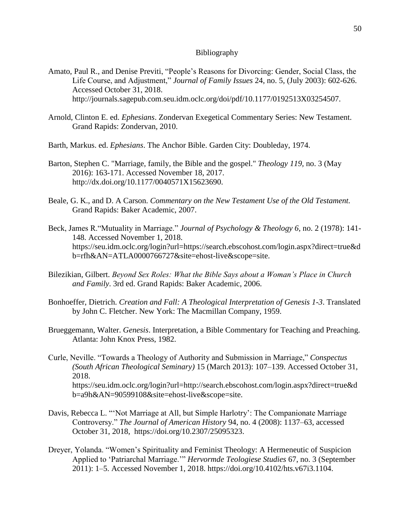#### Bibliography

- Amato, Paul R., and Denise Previti, "People's Reasons for Divorcing: Gender, Social Class, the Life Course, and Adjustment," *Journal of Family Issues* 24, no. 5, (July 2003): 602-626. Accessed October 31, 2018. http://journals.sagepub.com.seu.idm.oclc.org/doi/pdf/10.1177/0192513X03254507.
- Arnold, Clinton E. ed. *Ephesians*. Zondervan Exegetical Commentary Series: New Testament. Grand Rapids: Zondervan, 2010.
- Barth, Markus. ed. *Ephesians*. The Anchor Bible. Garden City: Doubleday, 1974.
- Barton, Stephen C. "Marriage, family, the Bible and the gospel." *Theology 119,* no. 3 (May 2016): 163-171. Accessed November 18, 2017. http://dx.doi.org/10.1177/0040571X15623690.
- Beale, G. K., and D. A Carson. *Commentary on the New Testament Use of the Old Testament.* Grand Rapids: Baker Academic, 2007.
- Beck, James R."Mutuality in Marriage." *Journal of Psychology & Theology 6,* no. 2 (1978): 141- 148. Accessed November 1, 2018. https://seu.idm.oclc.org/login?url=https://search.ebscohost.com/login.aspx?direct=true&d b=rfh&AN=ATLA0000766727&site=ehost-live&scope=site.
- Bilezikian, Gilbert. *Beyond Sex Roles: What the Bible Says about a Woman's Place in Church and Family*. 3rd ed. Grand Rapids: Baker Academic, 2006.
- Bonhoeffer, Dietrich. *Creation and Fall: A Theological Interpretation of Genesis 1-3*. Translated by John C. Fletcher. New York: The Macmillan Company, 1959.
- Brueggemann, Walter. *Genesis*. Interpretation, a Bible Commentary for Teaching and Preaching. Atlanta: John Knox Press, 1982.

Curle, Neville. "Towards a Theology of Authority and Submission in Marriage," *Conspectus (South African Theological Seminary)* 15 (March 2013): 107–139. Accessed October 31, 2018. https://seu.idm.oclc.org/login?url=http://search.ebscohost.com/login.aspx?direct=true&d b=a9h&AN=90599108&site=ehost-live&scope=site.

- Davis, Rebecca L. "'Not Marriage at All, but Simple Harlotry': The Companionate Marriage Controversy." *The Journal of American History* 94, no. 4 (2008): 1137–63, accessed October 31, 2018, https://doi.org/10.2307/25095323.
- Dreyer, Yolanda. "Women's Spirituality and Feminist Theology: A Hermeneutic of Suspicion Applied to 'Patriarchal Marriage.'" *Hervormde Teologiese Studies* 67, no. 3 (September 2011): 1–5. Accessed November 1, 2018. https://doi.org/10.4102/hts.v67i3.1104.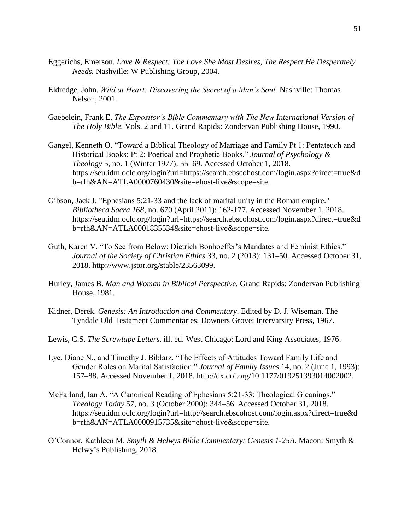- Eggerichs, Emerson. *Love & Respect: The Love She Most Desires, The Respect He Desperately Needs.* Nashville: W Publishing Group, 2004.
- Eldredge, John. *Wild at Heart: Discovering the Secret of a Man's Soul.* Nashville: Thomas Nelson, 2001.
- Gaebelein, Frank E. *The Expositor's Bible Commentary with The New International Version of The Holy Bible*. Vols. 2 and 11. Grand Rapids: Zondervan Publishing House, 1990.
- Gangel, Kenneth O. "Toward a Biblical Theology of Marriage and Family Pt 1: Pentateuch and Historical Books; Pt 2: Poetical and Prophetic Books." *Journal of Psychology & Theology* 5, no. 1 (Winter 1977): 55–69. Accessed October 1, 2018. https://seu.idm.oclc.org/login?url=https://search.ebscohost.com/login.aspx?direct=true&d b=rfh&AN=ATLA0000760430&site=ehost-live&scope=site.
- Gibson, Jack J. "Ephesians 5:21-33 and the lack of marital unity in the Roman empire." *Bibliotheca Sacra 168*, no. 670 (April 2011): 162-177. Accessed November 1, 2018. https://seu.idm.oclc.org/login?url=https://search.ebscohost.com/login.aspx?direct=true&d b=rfh&AN=ATLA0001835534&site=ehost-live&scope=site.
- Guth, Karen V. "To See from Below: Dietrich Bonhoeffer's Mandates and Feminist Ethics." *Journal of the Society of Christian Ethics* 33, no. 2 (2013): 131–50. Accessed October 31, 2018. http://www.jstor.org/stable/23563099.
- Hurley, James B. *Man and Woman in Biblical Perspective.* Grand Rapids: Zondervan Publishing House, 1981.
- Kidner, Derek. *Genesis: An Introduction and Commentary*. Edited by D. J. Wiseman. The Tyndale Old Testament Commentaries. Downers Grove: Intervarsity Press, 1967.
- Lewis, C.S. *The Screwtape Letters*. ill. ed. West Chicago: Lord and King Associates, 1976.
- Lye, Diane N., and Timothy J. Biblarz. "The Effects of Attitudes Toward Family Life and Gender Roles on Marital Satisfaction." *Journal of Family Issues* 14, no. 2 (June 1, 1993): 157–88. Accessed November 1, 2018. http://dx.doi.org/10.1177/019251393014002002.
- McFarland, Ian A. "A Canonical Reading of Ephesians 5:21-33: Theological Gleanings." *Theology Today* 57, no. 3 (October 2000): 344–56. Accessed October 31, 2018. https://seu.idm.oclc.org/login?url=http://search.ebscohost.com/login.aspx?direct=true&d b=rfh&AN=ATLA0000915735&site=ehost-live&scope=site.
- O'Connor, Kathleen M. *Smyth & Helwys Bible Commentary: Genesis 1-25A.* Macon: Smyth & Helwy's Publishing, 2018.